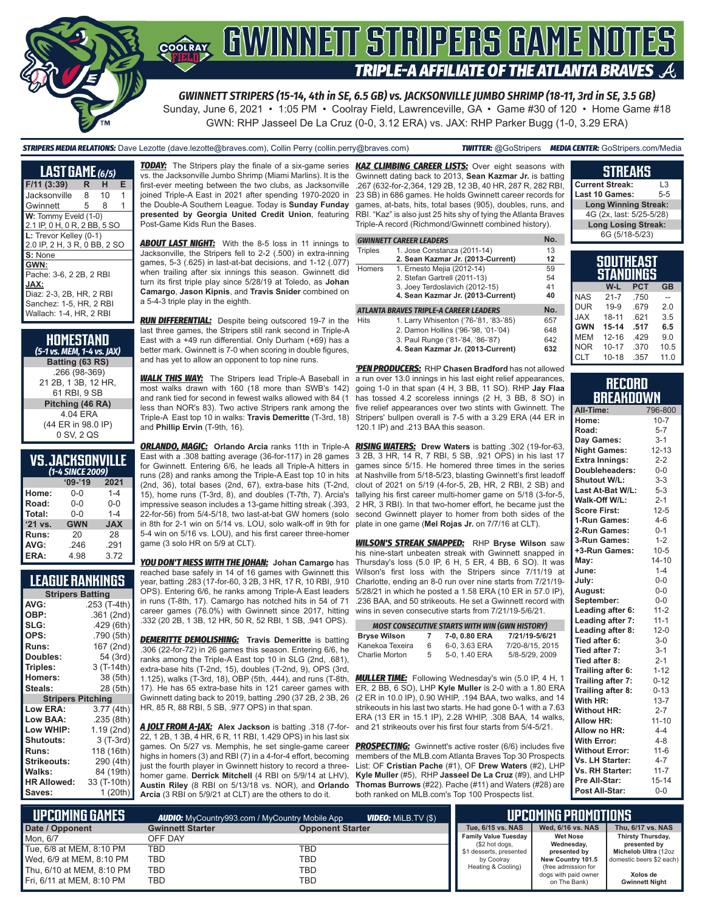

Sunday, June 6, 2021 • 1:05 PM • Coolray Field, Lawrenceville, GA • Game #30 of 120 • Home Game #18 GWN: RHP Jasseel De La Cruz (0-0, 3.12 ERA) vs. JAX: RHP Parker Bugg (1-0, 3.29 ERA)

*STRIPERS MEDIA RELATIONS:* Dave Lezotte (dave.lezotte@braves.com), Collin Perry (collin.perry@braves.com) *TWITTER:* @GoStripers *MEDIA CENTER:* GoStripers.com/Media

| <b>LAST GAME</b> (6/5)                               |    |    |   |  |
|------------------------------------------------------|----|----|---|--|
| $F/11$ (3:39)                                        | R. | н  | Е |  |
| Jacksonville                                         | 8  | 10 | 1 |  |
| Gwinnett                                             | 5  | 8  |   |  |
| W: Tommy Eveld (1-0)<br>2.1 IP, 0 H, 0 R, 2 BB, 5 SO |    |    |   |  |
| L: Trevor Kelley (0-1)                               |    |    |   |  |
| 2.0 IP, 2 H, 3 R, 0 BB, 2 SO                         |    |    |   |  |
| S: None                                              |    |    |   |  |
| GWN:                                                 |    |    |   |  |
| Pache: 3-6, 2 2B, 2 RBI                              |    |    |   |  |
| JAX:                                                 |    |    |   |  |
| Diaz: 2-3, 2B, HR, 2 RBI                             |    |    |   |  |
| Sanchez: 1-5, HR, 2 RBI                              |    |    |   |  |
| Wallach: 1-4, HR, 2 RBI                              |    |    |   |  |

| HOMESTAND<br>(5-1 vs. MEM, 1-4 vs. JAX) |
|-----------------------------------------|
| Batting (63 RS)                         |
| .266 (98-369)                           |
| 21 2B, 1 3B, 12 HR,                     |
| 61 RBI. 9 SB                            |
| Pitching (46 RA)                        |
| 4 04 FRA                                |
| (44 ER in 98.0 IP)                      |
| 0 SV, 2 QS                              |

## **VS. JACKSONVILLE**

| (1-4 SINCE 2009) |            |            |  |
|------------------|------------|------------|--|
|                  | $'09-'19$  | 2021       |  |
| Home:            | $0 - 0$    | $1 - 4$    |  |
| Road:            | $0 - 0$    | $0 - 0$    |  |
| Total:           | $0 - 0$    | $1 - 4$    |  |
| $'21$ vs.        | <b>GWN</b> | <b>JAX</b> |  |
| Runs:            | 20         | 28         |  |
| AVG:             | .246       | .291       |  |
| ERA:             | 4.98       | 3.72       |  |

#### **LEAGUE RANKINGS**

| <b>Stripers Batting</b>  |              |  |  |
|--------------------------|--------------|--|--|
| AVG:                     | .253 (T-4th) |  |  |
| OBP:                     | .361 (2nd)   |  |  |
| SLG:                     | .429 (6th)   |  |  |
| OPS:                     | .790 (5th)   |  |  |
| <b>Runs:</b>             | 167 (2nd)    |  |  |
| Doubles:                 | 54 (3rd)     |  |  |
| Triples:                 | 3 (T-14th)   |  |  |
| <b>Homers:</b>           | 38 (5th)     |  |  |
| Steals:                  | 28 (5th)     |  |  |
| <b>Stripers Pitching</b> |              |  |  |
| <b>Low ERA:</b>          | 3.77(4th)    |  |  |
| Low BAA:                 | .235 (8th)   |  |  |
| Low WHIP:                | 1.19 (2nd)   |  |  |
| <b>Shutouts:</b>         | $3(T-3rd)$   |  |  |
| <b>Runs:</b>             | 118 (16th)   |  |  |
| Strikeouts:              | 290 (4th)    |  |  |
| Walks:                   | 84 (19th)    |  |  |
| <b>HR Allowed:</b>       | 33 (T-10th)  |  |  |
| Saves:                   | 1 (20th)     |  |  |

vs. the Jacksonville Jumbo Shrimp (Miami Marlins). It is the first-ever meeting between the two clubs, as Jacksonville joined Triple-A East in 2021 after spending 1970-2020 in the Double-A Southern League. Today is **Sunday Funday presented by Georgia United Credit Union**, featuring Post-Game Kids Run the Bases.

**ABOUT LAST NIGHT:** With the 8-5 loss in 11 innings to Jacksonville, the Stripers fell to 2-2 (.500) in extra-inning games, 5-3 (.625) in last-at-bat decisions, and 1-12 (.077) when trailing after six innings this season. Gwinnett did turn its first triple play since 5/28/19 at Toledo, as **Johan Camargo**, **Jason Kipnis**, and **Travis Snider** combined on a 5-4-3 triple play in the eighth.

*RUN DIFFERENTIAL:* Despite being outscored 19-7 in the last three games, the Stripers still rank second in Triple-A East with a +49 run differential. Only Durham (+69) has a better mark. Gwinnett is 7-0 when scoring in double figures, and has yet to allow an opponent to top nine runs.

*WALK THIS WAY:* The Stripers lead Triple-A Baseball in most walks drawn with 160 (18 more than SWB's 142) and rank tied for second in fewest walks allowed with 84 (1 less than NOR's 83). Two active Stripers rank among the Triple-A East top 10 in walks: **Travis Demeritte** (T-3rd, 18) Stripers' bullpen overall is 7-5 with a 3.29 ERA (44 ER in and **Phillip Ervin** (T-9th, 16).

*ORLANDO, MAGIC:* **Orlando Arcia** ranks 11th in Triple-A East with a .308 batting average (36-for-117) in 28 games for Gwinnett. Entering 6/6, he leads all Triple-A hitters in runs (28) and ranks among the Triple-A East top 10 in hits (2nd, 36), total bases (2nd, 67), extra-base hits (T-2nd, 15), home runs (T-3rd, 8), and doubles (T-7th, 7). Arcia's impressive season includes a 13-game hitting streak (.393, 22-for-56) from 5/4-5/18, two last-at-bat GW homers (solo in 8th for 2-1 win on 5/14 vs. LOU, solo walk-off in 9th for 5-4 win on 5/16 vs. LOU), and his first career three-homer game (3 solo HR on 5/9 at CLT).

*YOU DON'T MESS WITH THE JOHAN:* **Johan Camargo** has reached base safely in 14 of 16 games with Gwinnett this year, batting .283 (17-for-60, 3 2B, 3 HR, 17 R, 10 RBI, .910 OPS). Entering 6/6, he ranks among Triple-A East leaders in runs (T-8th, 17). Camargo has notched hits in 54 of 71 career games (76.0%) with Gwinnett since 2017, hitting .332 (20 2B, 1 3B, 12 HR, 50 R, 52 RBI, 1 SB, .941 OPS).

*DEMERITTE DEMOLISHING:* **Travis Demeritte** is batting .306 (22-for-72) in 26 games this season. Entering 6/6, he ranks among the Triple-A East top 10 in SLG (2nd, .681), extra-base hits (T-2nd, 15), doubles (T-2nd, 9), OPS (3rd, 1.125), walks (T-3rd, 18), OBP (5th, .444), and runs (T-8th, 17). He has 65 extra-base hits in 121 career games with Gwinnett dating back to 2019, batting .290 (37 2B, 2 3B, 26 HR, 85 R, 88 RBI, 5 SB, .977 OPS) in that span.

*A JOLT FROM A-JAX:* **Alex Jackson** is batting .318 (7-for-22, 1 2B, 1 3B, 4 HR, 6 R, 11 RBI, 1.429 OPS) in his last six games. On 5/27 vs. Memphis, he set single-game career highs in homers (3) and RBI (7) in a 4-for-4 effort, becoming just the fourth player in Gwinnett history to record a threehomer game. **Derrick Mitchell** (4 RBI on 5/9/14 at LHV), **Austin Riley** (8 RBI on 5/13/18 vs. NOR), and **Orlando Arcia** (3 RBI on 5/9/21 at CLT) are the others to do it.

*TODAY:* The Stripers play the finale of a six-game series *KAZ CLIMBING CAREER LISTS:* Over eight seasons with Gwinnett dating back to 2013, **Sean Kazmar Jr.** is batting .267 (632-for-2,364, 129 2B, 12 3B, 40 HR, 287 R, 282 RBI, 23 SB) in 686 games. He holds Gwinnett career records for games, at-bats, hits, total bases (905), doubles, runs, and RBI. "Kaz" is also just 25 hits shy of tying the Atlanta Braves Triple-A record (Richmond/Gwinnett combined history).

|                | <b>GWINNETT CAREER LEADERS</b>         | No. |
|----------------|----------------------------------------|-----|
| <b>Triples</b> | 1. Jose Constanza (2011-14)            | 13  |
|                | 2. Sean Kazmar Jr. (2013-Current)      | 12  |
| <b>Homers</b>  | 1. Ernesto Mejia (2012-14)             | 59  |
|                | 2. Stefan Gartrell (2011-13)           | 54  |
|                | 3. Joey Terdoslavich (2012-15)         | 41  |
|                | 4. Sean Kazmar Jr. (2013-Current)      | 40  |
|                | ATLANTA BRAVES TRIPLE-A CAREER LEADERS | No. |
| <b>Hits</b>    | 1. Larry Whisenton ('76-'81, '83-'85)  | 657 |
|                | 2. Damon Hollins ('96-'98, '01-'04)    | 648 |
|                | 3. Paul Runge ('81-'84, '86-'87)       | 642 |
|                | 4. Sean Kazmar Jr. (2013-Current)      | 632 |

*'PEN PRODUCERS:* RHP **Chasen Bradford** has not allowed a run over 13.0 innings in his last eight relief appearances, going 1-0 in that span (4 H, 3 BB, 11 SO). RHP **Jay Flaa** has tossed 4.2 scoreless innings (2 H, 3 BB, 8 SO) in five relief appearances over two stints with Gwinnett. The 120.1 IP) and .213 BAA this season.

*RISING WATERS:* **Drew Waters** is batting .302 (19-for-63, 3 2B, 3 HR, 14 R, 7 RBI, 5 SB, .921 OPS) in his last 17 games since 5/15. He homered three times in the series at Nashville from 5/18-5/23, blasting Gwinnett's first leadoff clout of 2021 on 5/19 (4-for-5, 2B, HR, 2 RBI, 2 SB) and tallying his first career multi-homer game on 5/18 (3-for-5, 2 HR, 3 RBI). In that two-homer effort, he became just the second Gwinnett player to homer from both sides of the plate in one game (**Mel Rojas Jr.** on 7/7/16 at CLT).

*WILSON'S STREAK SNAPPED:* RHP **Bryse Wilson** saw his nine-start unbeaten streak with Gwinnett snapped in Thursday's loss (5.0 IP, 6 H, 5 ER, 4 BB, 6 SO). It was Wilson's first loss with the Stripers since 7/11/19 at Charlotte, ending an 8-0 run over nine starts from 7/21/19- 5/28/21 in which he posted a 1.58 ERA (10 ER in 57.0 IP), .236 BAA, and 50 strikeouts. He set a Gwinnett record with wins in seven consecutive starts from 7/21/19-5/6/21.

| <b>MOST CONSECUTIVE STARTS WITH WIN (GWN HISTORY)</b> |    |               |                 |
|-------------------------------------------------------|----|---------------|-----------------|
| <b>Bryse Wilson</b>                                   | 7  | 7-0, 0.80 ERA | 7/21/19-5/6/21  |
| Kanekoa Texeira                                       | 6  | 6-0, 3.63 ERA | 7/20-8/15, 2015 |
| Charlie Morton                                        | 5. | 5-0, 1.40 ERA | 5/8-5/29, 2009  |

*MULLER TIME:* Following Wednesday's win (5.0 IP, 4 H, 1 ER, 2 BB, 6 SO), LHP **Kyle Muller** is 2-0 with a 1.80 ERA (2 ER in 10.0 IP), 0.90 WHIP, .194 BAA, two walks, and 14 strikeouts in his last two starts. He had gone 0-1 with a 7.63 ERA (13 ER in 15.1 IP), 2.28 WHIP, .308 BAA, 14 walks, and 21 strikeouts over his first four starts from 5/4-5/21.

**PROSPECTING:** Gwinnett's active roster (6/6) includes five members of the MLB.com Atlanta Braves Top 30 Prospects List: OF **Cristian Pache** (#1), OF **Drew Waters** (#2), LHP **Kyle Muller** (#5), RHP **Jasseel De La Cruz** (#9), and LHP **Thomas Burrows** (#22). Pache (#11) and Waters (#28) are both ranked on MLB.com's Top 100 Prospects list.

| <b>Current Streak:</b>      | l 3     |
|-----------------------------|---------|
| Last 10 Games:              | $5 - 5$ |
| <b>Long Winning Streak:</b> |         |
| 4G (2x, last: 5/25-5/28)    |         |
| <b>Long Losing Streak:</b>  |         |
| 6G (5/18-5/23)              |         |
|                             |         |

**STREAKS**

| SOUTHEAST<br>STANDINGS |           |            |           |  |
|------------------------|-----------|------------|-----------|--|
|                        | W-L       | <b>PCT</b> | <b>GB</b> |  |
| <b>NAS</b>             | $21 - 7$  | .750       |           |  |
| <b>DUR</b>             | $19-9$    | .679       | 20        |  |
| <b>JAX</b>             | 18-11     | .621       | 3.5       |  |
| <b>GWN</b>             | $15 - 14$ | .517       | 6.5       |  |
| <b>MEM</b>             | $12 - 16$ | .429       | 9.0       |  |
| <b>NOR</b>             | $10 - 17$ | .370       | 10.5      |  |
| <b>CLT</b>             | $10 - 18$ | .357       | 11.0      |  |

|           |  | Record |  |
|-----------|--|--------|--|
| BREAKDOWN |  |        |  |

| All-Time:             | 796-800   |
|-----------------------|-----------|
| Home:                 | $10 - 7$  |
| Road:                 | $5-7$     |
| Day Games:            | $3 - 1$   |
| <b>Night Games:</b>   | $12 - 13$ |
| <b>Extra Innings:</b> | $2 - 2$   |
| Doubleheaders:        | $0 - 0$   |
| Shutout W/L:          | $3 - 3$   |
| Last At-Bat W/L:      | $5 - 3$   |
| Walk-Off W/L:         | $2 - 1$   |
| <b>Score First:</b>   | $12 - 5$  |
| 1-Run Games:          | $4 - 6$   |
| 2-Run Games:          | $0 - 1$   |
| 3-Run Games:          | $1 - 2$   |
| +3-Run Games:         | $10 - 5$  |
| May:                  | $14 - 10$ |
| June:                 | $1 - 4$   |
| July:                 | $0 - 0$   |
| August:               | $0-0$     |
| September:            | $0-0$     |
| Leading after 6:      | $11 - 2$  |
| Leading after 7:      | $11 - 1$  |
| Leading after 8:      | $12 - 0$  |
| Tied after 6:         | $3-0$     |
| Tied after 7:         | $3 - 1$   |
| Tied after 8:         | $2 - 1$   |
| Trailing after 6:     | $1 - 12$  |
| Trailing after 7:     | $0 - 12$  |
| Trailing after 8:     | $0 - 13$  |
| With HR:              | $13 - 7$  |
| <b>Without HR:</b>    | $2 - 7$   |
| <b>Allow HR:</b>      | $11 - 10$ |
| Allow no HR:          | $4 - 4$   |
| <b>With Error:</b>    | $4 - 8$   |
| <b>Without Error:</b> | $11 - 6$  |
| Vs. LH Starter:       | $4 - 7$   |
| Vs. RH Starter:       | $11 - 7$  |
| Pre All-Star:         | $15 - 14$ |
| Post All-Star:        | $0 - 0$   |

| <b>Lupcoming Games \</b>  |                         | <b>VIDEO:</b> MILB.TV (\$)<br><b>AUDIO:</b> MyCountry993.com / MyCountry Mobile App |                                           | <b><i>'</i>UPCOMING PROMOTIONS</b>   |                                      |
|---------------------------|-------------------------|-------------------------------------------------------------------------------------|-------------------------------------------|--------------------------------------|--------------------------------------|
| Date / Opponent           | <b>Gwinnett Starter</b> | <b>Opponent Starter</b>                                                             | Tue. 6/15 vs. NAS                         | Wed. 6/16 vs. NAS                    | Thu, 6/17 vs. NAS                    |
| Mon. 6/7                  | OFF DAY                 |                                                                                     | <b>Family Value Tuesday</b>               | <b>Wet Nose</b>                      | Thirsty Thursday,                    |
| Tue, 6/8 at MEM, 8:10 PM  | <b>TBD</b>              | TBD                                                                                 | (\$2 hot dogs,<br>\$1 desserts, presented | Wednesday,<br>presented by           | presented by<br>Michelob Ultra (12oz |
| Wed, 6/9 at MEM, 8:10 PM  | TBD                     | TBD                                                                                 | by Coolray                                | New Country 101.5                    | domestic beers \$2 each)             |
| Thu, 6/10 at MEM, 8:10 PM | <b>TBD</b>              | TBD                                                                                 | Heating & Cooling)                        | (free admission for                  |                                      |
| Fri, 6/11 at MEM, 8:10 PM | <b>TBD</b>              | TBD                                                                                 |                                           | dogs with paid owner<br>on The Bank) | Xolos de<br><b>Gwinnett Night</b>    |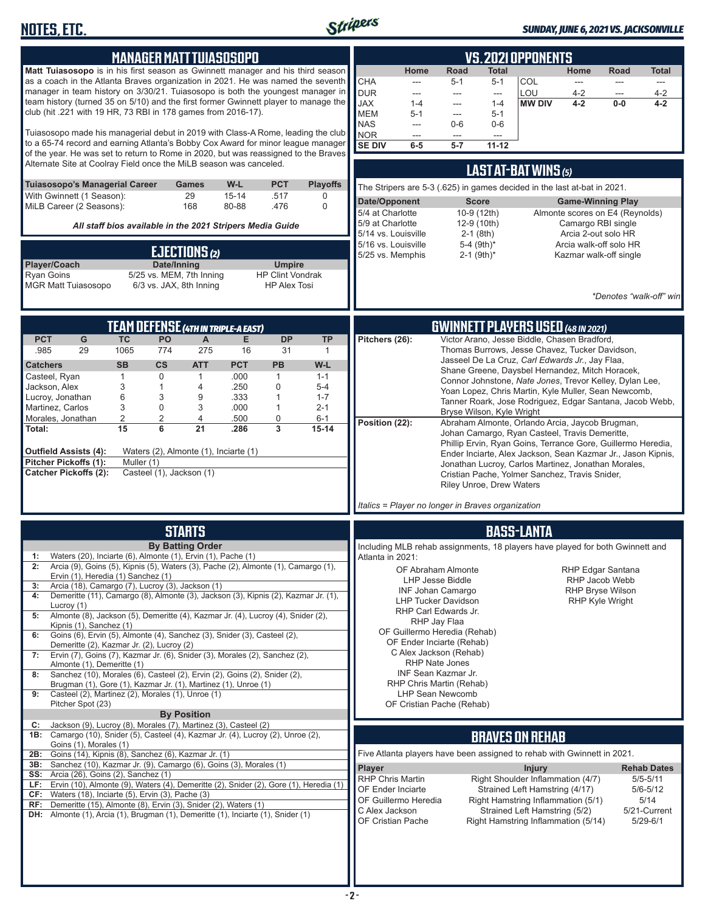

#### *SUNDAY, JUNE 6, 2021 VS. JACKSONVILLE*

| <b>MANAGER MATT TUIASOSOPO</b>                                                                                                                                       | <b>VS. 2021 OPPONENTS</b>                                                                                                                                                           |
|----------------------------------------------------------------------------------------------------------------------------------------------------------------------|-------------------------------------------------------------------------------------------------------------------------------------------------------------------------------------|
| Matt Tuiasosopo is in his first season as Gwinnett manager and his third season                                                                                      | Home<br>Road<br><b>Total</b><br>Home<br>Road<br><b>Total</b>                                                                                                                        |
| as a coach in the Atlanta Braves organization in 2021. He was named the seventh<br>manager in team history on 3/30/21. Tuiasosopo is both the youngest manager in    | <b>CHA</b><br>COL<br>$5 - 1$<br>$5 - 1$<br>---<br>$\frac{1}{2}$<br>$\frac{1}{2}$<br>---<br><b>DUR</b><br>LOU<br>$4 - 2$<br>$4 - 2$<br>$\overline{\phantom{a}}$<br>---<br>---<br>--- |
| team history (turned 35 on 5/10) and the first former Gwinnett player to manage the<br>club (hit .221 with 19 HR, 73 RBI in 178 games from 2016-17).                 | <b>XAL</b><br>$1 - 4$<br><b>MW DIV</b><br>$4 - 2$<br>$0-0$<br>$4 - 2$<br>$1 - 4$<br>---<br><b>MEM</b><br>$5-1$<br>$5 - 1$<br>---                                                    |
|                                                                                                                                                                      | <b>NAS</b><br>$0-6$<br>$0-6$<br>$---$                                                                                                                                               |
| Tuiasosopo made his managerial debut in 2019 with Class-A Rome, leading the club<br>to a 65-74 record and earning Atlanta's Bobby Cox Award for minor league manager | <b>NOR</b><br>---<br>---<br>$\overline{a}$<br><b>SE DIV</b><br>$6-5$<br>$5 - 7$<br>$11 - 12$                                                                                        |
| of the year. He was set to return to Rome in 2020, but was reassigned to the Braves<br>Alternate Site at Coolray Field once the MiLB season was canceled.            |                                                                                                                                                                                     |
|                                                                                                                                                                      | LAST AT-BAT WINS (5)                                                                                                                                                                |
| <b>PCT</b><br><b>Playoffs</b><br>Tuiasosopo's Managerial Career<br>W-L<br>Games<br>With Gwinnett (1 Season):<br>29<br>$15 - 14$<br>.517<br>0                         | The Stripers are 5-3 (.625) in games decided in the last at-bat in 2021.                                                                                                            |
| MiLB Career (2 Seasons):<br>168<br>80-88<br>.476<br>$\Omega$                                                                                                         | Date/Opponent<br><b>Score</b><br><b>Game-Winning Play</b><br>5/4 at Charlotte<br>10-9 (12th)<br>Almonte scores on E4 (Reynolds)                                                     |
| All staff bios available in the 2021 Stripers Media Guide                                                                                                            | 5/9 at Charlotte<br>Camargo RBI single<br>12-9 (10th)<br>5/14 vs. Louisville<br>$2-1$ (8th)<br>Arcia 2-out solo HR                                                                  |
| EJECTIONS (2)                                                                                                                                                        | 5/16 vs. Louisville<br>5-4 (9th)*<br>Arcia walk-off solo HR                                                                                                                         |
| Player/Coach<br>Date/Inning<br><b>Umpire</b>                                                                                                                         | 5/25 vs. Memphis<br>$2-1$ (9th) <sup>*</sup><br>Kazmar walk-off single                                                                                                              |
| <b>Ryan Goins</b><br>5/25 vs. MEM, 7th Inning<br><b>HP Clint Vondrak</b><br>6/3 vs. JAX, 8th Inning<br><b>HP Alex Tosi</b><br><b>MGR Matt Tuiasosopo</b>             |                                                                                                                                                                                     |
|                                                                                                                                                                      | *Denotes "walk-off" win                                                                                                                                                             |
|                                                                                                                                                                      |                                                                                                                                                                                     |
| <b>TEAM DEFENSE (4TH IN TRIPLE-A EAST)</b><br><b>PCT</b><br>G<br><b>DP</b><br><b>TC</b><br><b>PO</b><br>A<br>Е<br><b>TP</b>                                          | <b>GWINNETT PLAYERS USED (48 IN 2021)</b><br>Victor Arano, Jesse Biddle, Chasen Bradford,<br>Pitchers (26):                                                                         |
| .985<br>29<br>1065<br>774<br>275<br>31<br>16<br>$\mathbf{1}$                                                                                                         | Thomas Burrows, Jesse Chavez, Tucker Davidson,                                                                                                                                      |
| <b>SB</b><br>$\mathsf{cs}$<br><b>ATT</b><br><b>PCT</b><br><b>PB</b><br>$W-L$<br><b>Catchers</b>                                                                      | Jasseel De La Cruz, Carl Edwards Jr., Jay Flaa,<br>Shane Greene, Daysbel Hernandez, Mitch Horacek,                                                                                  |
| $\mathbf 0$<br>.000<br>Casteel, Ryan<br>$\mathbf{1}$<br>$\mathbf{1}$<br>$\mathbf{1}$<br>$1 - 1$<br>3<br>.250<br>0<br>Jackson, Alex<br>$\mathbf{1}$<br>4<br>$5 - 4$   | Connor Johnstone, Nate Jones, Trevor Kelley, Dylan Lee,                                                                                                                             |
| 6<br>3<br>.333<br>Lucroy, Jonathan<br>9<br>$\mathbf{1}$<br>$1 - 7$<br>3<br>Martinez, Carlos<br>0<br>3<br>.000<br>$\mathbf{1}$<br>$2 - 1$                             | Yoan Lopez, Chris Martin, Kyle Muller, Sean Newcomb,<br>Tanner Roark, Jose Rodriguez, Edgar Santana, Jacob Webb,                                                                    |
| $\overline{2}$<br>2<br>4<br>.500<br>0<br>Morales, Jonathan<br>$6 - 1$                                                                                                | Bryse Wilson, Kyle Wright<br>Position (22):<br>Abraham Almonte, Orlando Arcia, Jaycob Brugman,                                                                                      |
| 15<br>6<br>21<br>3<br>.286<br>$15 - 14$<br>Total:                                                                                                                    | Johan Camargo, Ryan Casteel, Travis Demeritte,                                                                                                                                      |
| <b>Outfield Assists (4):</b><br>Waters (2), Almonte (1), Inciarte (1)                                                                                                | Phillip Ervin, Ryan Goins, Terrance Gore, Guillermo Heredia,<br>Ender Inciarte, Alex Jackson, Sean Kazmar Jr., Jason Kipnis,                                                        |
| <b>Pitcher Pickoffs (1):</b><br>Muller (1)<br>Casteel (1), Jackson (1)<br><b>Catcher Pickoffs (2):</b>                                                               | Jonathan Lucroy, Carlos Martinez, Jonathan Morales,<br>Cristian Pache, Yolmer Sanchez, Travis Snider,                                                                               |
|                                                                                                                                                                      | <b>Riley Unroe, Drew Waters</b>                                                                                                                                                     |
|                                                                                                                                                                      | Italics = Player no longer in Braves organization                                                                                                                                   |
| <b>STARTS</b>                                                                                                                                                        |                                                                                                                                                                                     |
| <b>By Batting Order</b>                                                                                                                                              | <b>BASS-LANTA</b><br>Including MLB rehab assignments, 18 players have played for both Gwinnett and                                                                                  |
| 1:<br>Waters (20), Inciarte (6), Almonte (1), Ervin (1), Pache (1)                                                                                                   | Atlanta in 2021:                                                                                                                                                                    |
| Arcia (9), Goins (5), Kipnis (5), Waters (3), Pache (2), Almonte (1), Camargo (1),<br>2:<br>Ervin (1), Heredia (1) Sanchez (1)                                       | OF Abraham Almonte<br><b>RHP Edgar Santana</b><br>LHP Jesse Biddle<br>RHP Jacob Webb                                                                                                |
| Arcia (18), Camargo (7), Lucroy (3), Jackson (1)<br>3:<br>Demeritte (11), Camargo (8), Almonte (3), Jackson (3), Kipnis (2), Kazmar Jr. (1),<br>4:                   | <b>RHP Bryse Wilson</b><br>INF Johan Camargo                                                                                                                                        |
| Lucroy $(1)$<br>Almonte (8), Jackson (5), Demeritte (4), Kazmar Jr. (4), Lucroy (4), Snider (2),<br>5:                                                               | <b>LHP Tucker Davidson</b><br>RHP Kyle Wright<br>RHP Carl Edwards Jr.                                                                                                               |
| Kipnis (1), Sanchez (1)                                                                                                                                              | RHP Jay Flaa<br>OF Guillermo Heredia (Rehab)                                                                                                                                        |
| Goins (6), Ervin (5), Almonte (4), Sanchez (3), Snider (3), Casteel (2),<br>6:<br>Demeritte (2), Kazmar Jr. (2), Lucroy (2)                                          | OF Ender Inciarte (Rehab)                                                                                                                                                           |
| Ervin (7), Goins (7), Kazmar Jr. (6), Snider (3), Morales (2), Sanchez (2),<br>7:<br>Almonte (1), Demeritte (1)                                                      | C Alex Jackson (Rehab)<br><b>RHP Nate Jones</b>                                                                                                                                     |
| Sanchez (10), Morales (6), Casteel (2), Ervin (2), Goins (2), Snider (2),<br>8:                                                                                      | INF Sean Kazmar Jr.                                                                                                                                                                 |
| Brugman (1), Gore (1), Kazmar Jr. (1), Martinez (1), Unroe (1)<br>Casteel (2), Martinez (2), Morales (1), Unroe (1)<br>9:                                            | RHP Chris Martin (Rehab)<br>LHP Sean Newcomb                                                                                                                                        |
| Pitcher Spot (23)<br><b>By Position</b>                                                                                                                              | OF Cristian Pache (Rehab)                                                                                                                                                           |
| Jackson (9), Lucroy (8), Morales (7), Martinez (3), Casteel (2)<br>C:<br>1B: Camargo (10), Snider (5), Casteel (4), Kazmar Jr. (4), Lucroy (2), Unroe (2),           |                                                                                                                                                                                     |
| Goins (1), Morales (1)                                                                                                                                               | <b>BRAVES ON REHAB</b>                                                                                                                                                              |
| Goins (14), Kipnis (8), Sanchez (6), Kazmar Jr. (1)<br>2B:<br>3B: Sanchez (10), Kazmar Jr. (9), Camargo (6), Goins (3), Morales (1)                                  | Five Atlanta players have been assigned to rehab with Gwinnett in 2021.<br><b>Player</b><br><b>Rehab Dates</b><br><b>Injury</b>                                                     |
| <b>SS:</b> Arcia (26), Goins (2), Sanchez (1)<br>LF: Ervin (10), Almonte (9), Waters (4), Demeritte (2), Snider (2), Gore (1), Heredia (1)                           | Right Shoulder Inflammation (4/7)<br><b>RHP Chris Martin</b><br>$5/5 - 5/11$                                                                                                        |
| CF: Waters (18), Inciarte (5), Ervin (3), Pache (3)                                                                                                                  | $5/6 - 5/12$<br>OF Ender Inciarte<br>Strained Left Hamstring (4/17)<br>Right Hamstring Inflammation (5/1)<br>OF Guillermo Heredia<br>5/14                                           |
| RF: Demeritte (15), Almonte (8), Ervin (3), Snider (2), Waters (1)<br>DH: Almonte (1), Arcia (1), Brugman (1), Demeritte (1), Inciarte (1), Snider (1)               | C Alex Jackson<br>Strained Left Hamstring (5/2)<br>5/21-Current                                                                                                                     |
|                                                                                                                                                                      | OF Cristian Pache<br>Right Hamstring Inflammation (5/14)<br>$5/29 - 6/1$                                                                                                            |
|                                                                                                                                                                      |                                                                                                                                                                                     |
|                                                                                                                                                                      |                                                                                                                                                                                     |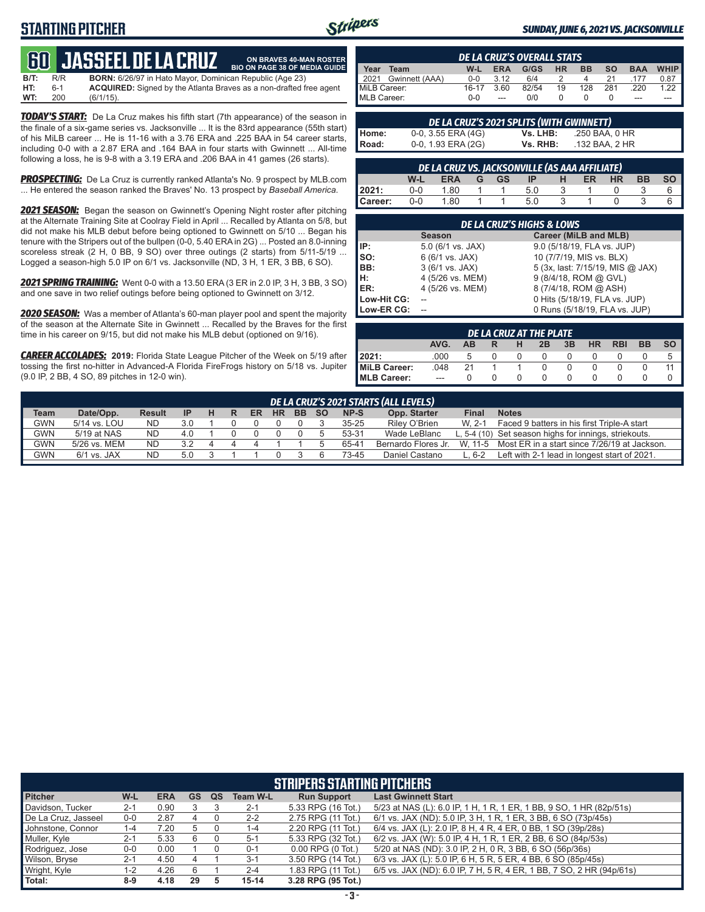# **STARTING PITCHER**



**ON BRAVES 40-MAN ROSTER**

#### *SUNDAY, JUNE 6, 2021 VS. JACKSONVILLE*

# **600 JASSEEL DE L**

**B/T:** R/R **BORN:** 6/26/97 in Hato Mayor, Dominican Republic (Age 23)<br>**HT:** 6-1 **ACQUIRED:** Signed by the Atlanta Braves as a non-drafted f **HT:** 6-1 **ACQUIRED:** Signed by the Atlanta Braves as a non-drafted free agent **WT:** 200 (6/1/15). **BIO ON PAGE 38 OF MEDIA GUIDE**

*TODAY'S START:* De La Cruz makes his fifth start (7th appearance) of the season in the finale of a six-game series vs. Jacksonville ... It is the 83rd appearance (55th start) of his MiLB career ... He is 11-16 with a 3.76 ERA and .225 BAA in 54 career starts, including 0-0 with a 2.87 ERA and .164 BAA in four starts with Gwinnett ... All-time following a loss, he is 9-8 with a 3.19 ERA and .206 BAA in 41 games (26 starts).

**PROSPECTING:** De La Cruz is currently ranked Atlanta's No. 9 prospect by MLB.com ... He entered the season ranked the Braves' No. 13 prospect by *Baseball America*.

*2021 SEASON:* Began the season on Gwinnett's Opening Night roster after pitching at the Alternate Training Site at Coolray Field in April ... Recalled by Atlanta on 5/8, but did not make his MLB debut before being optioned to Gwinnett on 5/10 ... Began his tenure with the Stripers out of the bullpen (0-0, 5.40 ERA in 2G) ... Posted an 8.0-inning scoreless streak (2 H, 0 BB, 9 SO) over three outings (2 starts) from 5/11-5/19 ... Logged a season-high 5.0 IP on 6/1 vs. Jacksonville (ND, 3 H, 1 ER, 3 BB, 6 SO).

*2021 SPRING TRAINING:* Went 0-0 with a 13.50 ERA (3 ER in 2.0 IP, 3 H, 3 BB, 3 SO) and one save in two relief outings before being optioned to Gwinnett on 3/12.

*2020 SEASON:* Was a member of Atlanta's 60-man player pool and spent the majority of the season at the Alternate Site in Gwinnett ... Recalled by the Braves for the first time in his career on 9/15, but did not make his MLB debut (optioned on 9/16).

*CAREER ACCOLADES:* **2019:** Florida State League Pitcher of the Week on 5/19 after tossing the first no-hitter in Advanced-A Florida FireFrogs history on 5/18 vs. Jupiter (9.0 IP, 2 BB, 4 SO, 89 pitches in 12-0 win).

|                     | <b>DE LA CRUZ'S OVERALL STATS</b> |         |            |       |           |           |           |            |             |  |  |  |  |
|---------------------|-----------------------------------|---------|------------|-------|-----------|-----------|-----------|------------|-------------|--|--|--|--|
| Year                | Team                              | W-L     | <b>ERA</b> | G/GS  | <b>HR</b> | <b>BB</b> | <b>SO</b> | <b>BAA</b> | <b>WHIP</b> |  |  |  |  |
| $\blacksquare$ 2021 | Gwinnett (AAA)                    | $0 - 0$ | 3.12       | 6/4   |           | 4         | 21        |            | 0.87        |  |  |  |  |
| MiLB Career:        |                                   | $16-17$ | 3.60       | 82/54 | 19        | 128       | 281       | .220       | 1 22        |  |  |  |  |
| MLB Career:         |                                   | ი-ი     | ---        | 0/0   |           |           |           | ---        |             |  |  |  |  |

|       | DE LA CRUZ'S 2021 SPLITS (WITH GWINNETT) |          |                |
|-------|------------------------------------------|----------|----------------|
| Home: | $0-0$ , $3.55$ ERA $(4G)$                | Vs. LHB: | .250 BAA. 0 HR |
| Road: | 0-0, 1.93 ERA (2G)                       | Vs. RHB: | .132 BAA. 2 HR |

|         | DE LA CRUZ VS. JACKSONVILLE (AS AAA AFFILIATE)                                                      |      |  |  |     |  |  |  |  |  |  |  |  |  |
|---------|-----------------------------------------------------------------------------------------------------|------|--|--|-----|--|--|--|--|--|--|--|--|--|
|         | <b>BB</b><br><b>HR</b><br>W-L<br><b>ER</b><br><b>ERA</b><br>GS -<br>$\P$ P $_{\circ}$<br>н.<br>TG N |      |  |  |     |  |  |  |  |  |  |  |  |  |
| 2021:   | $0 - 0$                                                                                             | 1.80 |  |  | 5.0 |  |  |  |  |  |  |  |  |  |
| Career: | $0 - 0$                                                                                             | 1.80 |  |  | 5 O |  |  |  |  |  |  |  |  |  |

|             | <b>DE LA CRUZ'S HIGHS &amp; LOWS</b> |                                  |  |  |  |  |  |  |  |  |  |  |
|-------------|--------------------------------------|----------------------------------|--|--|--|--|--|--|--|--|--|--|
|             | <b>Season</b>                        | Career (MiLB and MLB)            |  |  |  |  |  |  |  |  |  |  |
| IP:         | 5.0 (6/1 vs. JAX)                    | 9.0 (5/18/19, FLA vs. JUP)       |  |  |  |  |  |  |  |  |  |  |
| lso:        | 6 (6/1 vs. JAX)                      | 10 (7/7/19, MIS vs. BLX)         |  |  |  |  |  |  |  |  |  |  |
| BB:         | 3 (6/1 vs. JAX)                      | 5 (3x, last: 7/15/19, MIS @ JAX) |  |  |  |  |  |  |  |  |  |  |
| Iн:         | 4 (5/26 vs. MEM)                     | 9 (8/4/18, ROM @ GVL)            |  |  |  |  |  |  |  |  |  |  |
| <b>IER:</b> | 4 (5/26 vs. MEM)                     | 8 (7/4/18, ROM @ ASH)            |  |  |  |  |  |  |  |  |  |  |
| Low-Hit CG: |                                      | 0 Hits (5/18/19, FLA vs. JUP)    |  |  |  |  |  |  |  |  |  |  |
| Low-ER CG:  |                                      | 0 Runs (5/18/19, FLA vs. JUP)    |  |  |  |  |  |  |  |  |  |  |

| DE LA CRUZ AT THE PLATE                                                                      |      |    |  |  |              |  |  |  |  |   |  |  |
|----------------------------------------------------------------------------------------------|------|----|--|--|--------------|--|--|--|--|---|--|--|
| <b>SO</b><br><b>BB</b><br>AVG.<br>3B<br><b>HR</b><br><b>RBI</b><br>2B<br>н<br><b>AB</b><br>R |      |    |  |  |              |  |  |  |  |   |  |  |
| 12021:                                                                                       | .000 |    |  |  |              |  |  |  |  | 5 |  |  |
| MiLB Career:                                                                                 | .048 | 21 |  |  |              |  |  |  |  |   |  |  |
| MLB Career:                                                                                  | ---  |    |  |  | $\mathbf{U}$ |  |  |  |  |   |  |  |

| DE LA CRUZ'S 2021 STARTS (ALL LEVELS) |                                                                                                                                       |           |     |  |  |  |  |  |  |           |                     |          |                                                       |
|---------------------------------------|---------------------------------------------------------------------------------------------------------------------------------------|-----------|-----|--|--|--|--|--|--|-----------|---------------------|----------|-------------------------------------------------------|
| <b>Team</b>                           | Date/Opp.<br>Opp. Starter<br>NP-S<br>Final<br><b>Notes</b><br><b>SO</b><br><b>Result</b><br>ER<br><b>HR</b><br><b>BB</b><br>н<br>- IP |           |     |  |  |  |  |  |  |           |                     |          |                                                       |
| <b>GWN</b>                            | 5/14 vs. LOU                                                                                                                          | <b>ND</b> | 3.0 |  |  |  |  |  |  | $35 - 25$ | Rilev O'Brien       | $W. 2-1$ | Faced 9 batters in his first Triple-A start           |
| <b>GWN</b>                            | 5/19 at NAS                                                                                                                           | <b>ND</b> | 4.0 |  |  |  |  |  |  | 53-31     | Wade LeBlanc        |          | L, 5-4 (10) Set season highs for innings, striekouts. |
| <b>GWN</b>                            | 5/26 vs. MEM                                                                                                                          | <b>ND</b> | 3.2 |  |  |  |  |  |  | 65-41     | Bernardo Flores Jr. | W. 11-5  | Most ER in a start since 7/26/19 at Jackson.          |
| <b>GWN</b>                            | $6/1$ vs. JAX                                                                                                                         | <b>ND</b> | 5.0 |  |  |  |  |  |  | 73-45     | Daniel Castano      | l 6-2    | Left with 2-1 lead in longest start of 2021.          |
|                                       |                                                                                                                                       |           |     |  |  |  |  |  |  |           |                     |          |                                                       |

| <b>STRIPERS STARTING PITCHERS</b> |         |            |           |    |                 |                       |                                                                      |  |  |  |  |
|-----------------------------------|---------|------------|-----------|----|-----------------|-----------------------|----------------------------------------------------------------------|--|--|--|--|
| <b>Pitcher</b>                    | W-L     | <b>ERA</b> | <b>GS</b> | QS | <b>Team W-L</b> | <b>Run Support</b>    | <b>Last Gwinnett Start</b>                                           |  |  |  |  |
| Davidson, Tucker                  | $2 - 1$ | 0.90       |           |    | $2 - 1$         | 5.33 RPG (16 Tot.)    | 5/23 at NAS (L): 6.0 IP, 1 H, 1 R, 1 ER, 1 BB, 9 SO, 1 HR (82p/51s)  |  |  |  |  |
| De La Cruz, Jasseel               | $0-0$   | 2.87       |           |    | $2 - 2$         | 2.75 RPG (11 Tot.)    | 6/1 vs. JAX (ND): 5.0 IP, 3 H, 1 R, 1 ER, 3 BB, 6 SO (73p/45s)       |  |  |  |  |
| Johnstone, Connor                 | $1 - 4$ | 7.20       |           |    | $1 - 4$         | 2.20 RPG (11 Tot.)    | 6/4 vs. JAX (L): 2.0 IP, 8 H, 4 R, 4 ER, 0 BB, 1 SO (39p/28s)        |  |  |  |  |
| Muller, Kyle                      | $2 - 1$ | 5.33       |           |    | $5-1$           | 5.33 RPG (32 Tot.)    | 6/2 vs. JAX (W): 5.0 IP, 4 H, 1 R, 1 ER, 2 BB, 6 SO (84p/53s)        |  |  |  |  |
| Rodriguez, Jose                   | $0-0$   | 0.00       |           |    | $0 - 1$         | $0.00$ RPG $(0$ Tot.) | 5/20 at NAS (ND): 3.0 IP, 2 H, 0 R, 3 BB, 6 SO (56p/36s)             |  |  |  |  |
| Wilson, Bryse                     | $2 - 1$ | 4.50       |           |    | $3 - 1$         | 3.50 RPG (14 Tot.)    | 6/3 vs. JAX (L): 5.0 IP, 6 H, 5 R, 5 ER, 4 BB, 6 SO (85p/45s)        |  |  |  |  |
| Wright, Kyle                      | $1 - 2$ | 4.26       |           |    | $2 - 4$         | 1.83 RPG (11 Tot.)    | 6/5 vs. JAX (ND): 6.0 IP, 7 H, 5 R, 4 ER, 1 BB, 7 SO, 2 HR (94p/61s) |  |  |  |  |
| Total:                            | $8-9$   | 4.18       | 29        |    | $15-14$         | 3.28 RPG (95 Tot.)    |                                                                      |  |  |  |  |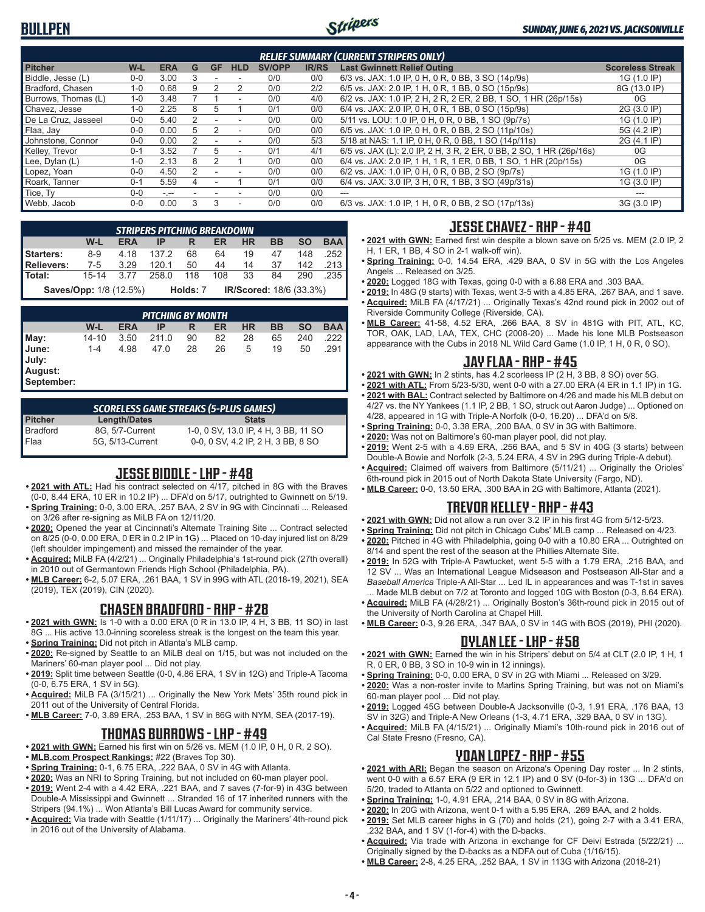

| <b>RELIEF SUMMARY (CURRENT STRIPERS ONLY)</b> |         |            |   |           |            |               |              |                                                                     |                         |  |  |
|-----------------------------------------------|---------|------------|---|-----------|------------|---------------|--------------|---------------------------------------------------------------------|-------------------------|--|--|
| <b>Pitcher</b>                                | $W-L$   | <b>ERA</b> | G | <b>GF</b> | <b>HLD</b> | <b>SV/OPP</b> | <b>IR/RS</b> | <b>Last Gwinnett Relief Outing</b>                                  | <b>Scoreless Streak</b> |  |  |
| Biddle, Jesse (L)                             | $0-0$   | 3.00       |   |           |            | 0/0           | 0/0          | 6/3 vs. JAX: 1.0 IP, 0 H, 0 R, 0 BB, 3 SO (14p/9s)                  | 1G (1.0 IP)             |  |  |
| Bradford, Chasen                              | $1-0$   | 0.68       | 9 |           |            | 0/0           | 2/2          | 6/5 vs. JAX: 2.0 IP, 1 H, 0 R, 1 BB, 0 SO (15p/9s)                  | 8G (13.0 IP)            |  |  |
| Burrows, Thomas (L)                           | $1 - 0$ | 3.48       |   |           | ٠          | 0/0           | 4/0          | 6/2 vs. JAX: 1.0 IP, 2 H, 2 R, 2 ER, 2 BB, 1 SO, 1 HR (26p/15s)     | 0G                      |  |  |
| Chavez, Jesse                                 | $1 - 0$ | 2.25       | 8 | h         |            | 0/1           | 0/0          | 6/4 vs. JAX: 2.0 IP, 0 H, 0 R, 1 BB, 0 SO (15p/9s)                  | 2G (3.0 IP)             |  |  |
| De La Cruz, Jasseel                           | $0 - 0$ | 5.40       |   |           |            | 0/0           | 0/0          | 5/11 vs. LOU: 1.0 IP, 0 H, 0 R, 0 BB, 1 SO (9p/7s)                  | 1G (1.0 IP)             |  |  |
| Flaa, Jay                                     | $0 - 0$ | 0.00       | 5 |           | ٠          | 0/0           | 0/0          | 6/5 vs. JAX: 1.0 IP, 0 H, 0 R, 0 BB, 2 SO (11p/10s)                 | 5G (4.2 IP)             |  |  |
| Johnstone, Connor                             | $0 - 0$ | 0.00       |   |           | ٠          | 0/0           | 5/3          | 5/18 at NAS: 1.1 IP, 0 H, 0 R, 0 BB, 1 SO (14p/11s)                 | 2G (4.1 IP)             |  |  |
| Kelley, Trevor                                | $0 - 1$ | 3.52       |   | .h        | ٠          | 0/1           | 4/1          | 6/5 vs. JAX (L): 2.0 IP, 2 H, 3 R, 2 ER, 0 BB, 2 SO, 1 HR (26p/16s) | 0G                      |  |  |
| Lee, Dylan (L)                                | $1 - 0$ | 2.13       | 8 |           |            | 0/0           | 0/0          | 6/4 vs. JAX: 2.0 IP, 1 H, 1 R, 1 ER, 0 BB, 1 SO, 1 HR (20p/15s)     | 0G                      |  |  |
| Lopez, Yoan                                   | $0-0$   | 4.50       |   |           |            | 0/0           | 0/0          | 6/2 vs. JAX: 1.0 IP, 0 H, 0 R, 0 BB, 2 SO (9p/7s)                   | 1G (1.0 IP)             |  |  |
| Roark. Tanner                                 | $0 - 1$ | 5.59       | 4 |           |            | 0/1           | 0/0          | 6/4 vs. JAX: 3.0 IP, 3 H, 0 R, 1 BB, 3 SO (49p/31s)                 | 1G (3.0 IP)             |  |  |
| Tice, Ty                                      | $0 - 0$ | $-1$       |   |           |            | 0/0           | 0/0          | $- - -$                                                             |                         |  |  |
| Webb, Jacob                                   | $0-0$   | 0.00       | 3 | 3         | ۰          | 0/0           | 0/0          | 6/3 vs. JAX: 1.0 IP, 1 H, 0 R, 0 BB, 2 SO (17p/13s)                 | 3G (3.0 IP)             |  |  |

|                                                                                  | <b>STRIPERS PITCHING BREAKDOWN</b> |      |       |          |     |                         |    |     |      |  |  |  |  |
|----------------------------------------------------------------------------------|------------------------------------|------|-------|----------|-----|-------------------------|----|-----|------|--|--|--|--|
| <b>BAA</b><br><b>SO</b><br>W-L<br><b>HR</b><br>BB<br><b>ERA</b><br>ER<br>IP<br>R |                                    |      |       |          |     |                         |    |     |      |  |  |  |  |
| <b>Starters:</b>                                                                 | 8-9                                | 4.18 | 1372  | 68       | 64  | 19                      | 47 | 148 | .252 |  |  |  |  |
| Relievers:                                                                       | 7-5                                | 3.29 | 120.1 | 50       | 44  | 14                      | 37 | 142 | .213 |  |  |  |  |
| Total:                                                                           | $15 - 14$                          | 3.77 | 258.0 | 118      | 108 | 33                      | 84 | 290 | .235 |  |  |  |  |
|                                                                                  | <b>Saves/Opp: 1/8 (12.5%)</b>      |      |       | Holds: 7 |     | IR/Scored: 18/6 (33.3%) |    |     |      |  |  |  |  |

|                                                | <b>PITCHING BY MONTH</b> |            |       |    |    |           |    |           |            |  |  |  |  |
|------------------------------------------------|--------------------------|------------|-------|----|----|-----------|----|-----------|------------|--|--|--|--|
|                                                | W-L                      | <b>ERA</b> | IP    | R  | ER | <b>HR</b> | BB | <b>SO</b> | <b>BAA</b> |  |  |  |  |
| $\blacksquare$ May:                            | 14-10                    | 3.50       | 211.0 | 90 | 82 | 28        | 65 | 240       | 222        |  |  |  |  |
| <b>June:</b><br>July:<br>August:<br>September: | $1 - 4$                  | 4.98       | 47.0  | 28 | 26 | 5         | 19 | 50        | .291       |  |  |  |  |

| <b>SCORELESS GAME STREAKS (5-PLUS GAMES)</b> |                  |                                      |  |  |  |  |  |  |  |  |  |
|----------------------------------------------|------------------|--------------------------------------|--|--|--|--|--|--|--|--|--|
| <b>Pitcher</b>                               | Length/Dates     | <b>Stats</b>                         |  |  |  |  |  |  |  |  |  |
| Bradford                                     | 8G. 5/7-Current  | 1-0, 0 SV, 13.0 IP, 4 H, 3 BB, 11 SO |  |  |  |  |  |  |  |  |  |
| Flaa                                         | 5G. 5/13-Current | 0-0, 0 SV, 4.2 IP, 2 H, 3 BB, 8 SO   |  |  |  |  |  |  |  |  |  |

#### **JESSE BIDDLE - LHP - #48**

- **• 2021 with ATL:** Had his contract selected on 4/17, pitched in 8G with the Braves (0-0, 8.44 ERA, 10 ER in 10.2 IP) ... DFA'd on 5/17, outrighted to Gwinnett on 5/19.
- **• Spring Training:** 0-0, 3.00 ERA, .257 BAA, 2 SV in 9G with Cincinnati ... Released on 3/26 after re-signing as MiLB FA on 12/11/20.
- **• 2020:** Opened the year at Cincinnati's Alternate Training Site ... Contract selected on 8/25 (0-0, 0.00 ERA, 0 ER in 0.2 IP in 1G) ... Placed on 10-day injured list on 8/29 (left shoulder impingement) and missed the remainder of the year.
- **• Acquired:** MiLB FA (4/2/21) ... Originally Philadelphia's 1st-round pick (27th overall) in 2010 out of Germantown Friends High School (Philadelphia, PA).
- **• MLB Career:** 6-2, 5.07 ERA, .261 BAA, 1 SV in 99G with ATL (2018-19, 2021), SEA (2019), TEX (2019), CIN (2020).

#### **CHASEN BRADFORD - RHP - #28**

- **• 2021 with GWN:** Is 1-0 with a 0.00 ERA (0 R in 13.0 IP, 4 H, 3 BB, 11 SO) in last 8G ... His active 13.0-inning scoreless streak is the longest on the team this year.
- **• Spring Training:** Did not pitch in Atlanta's MLB camp. **• 2020:** Re-signed by Seattle to an MiLB deal on 1/15, but was not included on the
- Mariners' 60-man player pool ... Did not play. **• 2019:** Split time between Seattle (0-0, 4.86 ERA, 1 SV in 12G) and Triple-A Tacoma
- (0-0, 6.75 ERA, 1 SV in 5G).
- **• Acquired:** MiLB FA (3/15/21) ... Originally the New York Mets' 35th round pick in 2011 out of the University of Central Florida.
- **• MLB Career:** 7-0, 3.89 ERA, .253 BAA, 1 SV in 86G with NYM, SEA (2017-19).

# **THOMAS BURROWS - LHP - #49**

- **• 2021 with GWN:** Earned his first win on 5/26 vs. MEM (1.0 IP, 0 H, 0 R, 2 SO).
- **• MLB.com Prospect Rankings:** #22 (Braves Top 30).
- **• Spring Training:** 0-1, 6.75 ERA, .222 BAA, 0 SV in 4G with Atlanta.
- **• 2020:** Was an NRI to Spring Training, but not included on 60-man player pool. **• 2019:** Went 2-4 with a 4.42 ERA, .221 BAA, and 7 saves (7-for-9) in 43G between
- Double-A Mississippi and Gwinnett ... Stranded 16 of 17 inherited runners with the Stripers (94.1%) ... Won Atlanta's Bill Lucas Award for community service.
- **• Acquired:** Via trade with Seattle (1/11/17) ... Originally the Mariners' 4th-round pick in 2016 out of the University of Alabama.

## **JESSE CHAVEZ - RHP - #40**

- **• 2021 with GWN:** Earned first win despite a blown save on 5/25 vs. MEM (2.0 IP, 2 H, 1 ER, 1 BB, 4 SO in 2-1 walk-off win).
- **• Spring Training:** 0-0, 14.54 ERA, .429 BAA, 0 SV in 5G with the Los Angeles Angels ... Released on 3/25.
- **• 2020:** Logged 18G with Texas, going 0-0 with a 6.88 ERA and .303 BAA.
- **• 2019:** In 48G (9 starts) with Texas, went 3-5 with a 4.85 ERA, .267 BAA, and 1 save. **• Acquired:** MiLB FA (4/17/21) ... Originally Texas's 42nd round pick in 2002 out of Riverside Community College (Riverside, CA).
- **• MLB Career:** 41-58, 4.52 ERA, .266 BAA, 8 SV in 481G with PIT, ATL, KC, TOR, OAK, LAD, LAA, TEX, CHC (2008-20) ... Made his lone MLB Postseason appearance with the Cubs in 2018 NL Wild Card Game (1.0 IP, 1 H, 0 R, 0 SO).

## **JAY FLAA - RHP - #45**

- **• 2021 with GWN:** In 2 stints, has 4.2 scorleess IP (2 H, 3 BB, 8 SO) over 5G.
- **• 2021 with ATL:** From 5/23-5/30, went 0-0 with a 27.00 ERA (4 ER in 1.1 IP) in 1G.
- **• 2021 with BAL:** Contract selected by Baltimore on 4/26 and made his MLB debut on 4/27 vs. the NY Yankees (1.1 IP, 2 BB, 1 SO, struck out Aaron Judge) ... Optioned on 4/28, appeared in 1G with Triple-A Norfolk (0-0, 16.20) ... DFA'd on 5/8.
- **• Spring Training:** 0-0, 3.38 ERA, .200 BAA, 0 SV in 3G with Baltimore.
- **• 2020:** Was not on Baltimore's 60-man player pool, did not play.
- **• 2019:** Went 2-5 with a 4.69 ERA, .256 BAA, and 5 SV in 40G (3 starts) between Double-A Bowie and Norfolk (2-3, 5.24 ERA, 4 SV in 29G during Triple-A debut).
- **• Acquired:** Claimed off waivers from Baltimore (5/11/21) ... Originally the Orioles' 6th-round pick in 2015 out of North Dakota State University (Fargo, ND).
- **• MLB Career:** 0-0, 13.50 ERA, .300 BAA in 2G with Baltimore, Atlanta (2021).

# **TREVOR KELLEY - RHP - #43**

- **• 2021 with GWN:** Did not allow a run over 3.2 IP in his first 4G from 5/12-5/23.
- **• Spring Training:** Did not pitch in Chicago Cubs' MLB camp ... Released on 4/23.
- **• 2020:** Pitched in 4G with Philadelphia, going 0-0 with a 10.80 ERA ... Outrighted on 8/14 and spent the rest of the season at the Phillies Alternate Site.
- **• 2019:** In 52G with Triple-A Pawtucket, went 5-5 with a 1.79 ERA, .216 BAA, and 12 SV ... Was an International League Midseason and Postseason All-Star and a *Baseball America* Triple-A All-Star ... Led IL in appearances and was T-1st in saves ... Made MLB debut on 7/2 at Toronto and logged 10G with Boston (0-3, 8.64 ERA).
- **• Acquired:** MiLB FA (4/28/21) ... Originally Boston's 36th-round pick in 2015 out of the University of North Carolina at Chapel Hill.
- **• MLB Career:** 0-3, 9.26 ERA, .347 BAA, 0 SV in 14G with BOS (2019), PHI (2020).

#### **DYLAN LEE - LHP - #58**

- **• 2021 with GWN:** Earned the win in his Stripers' debut on 5/4 at CLT (2.0 IP, 1 H, 1 R, 0 ER, 0 BB, 3 SO in 10-9 win in 12 innings).
- **• Spring Training:** 0-0, 0.00 ERA, 0 SV in 2G with Miami ... Released on 3/29.
- **• 2020:** Was a non-roster invite to Marlins Spring Training, but was not on Miami's 60-man player pool ... Did not play.
- **• 2019:** Logged 45G between Double-A Jacksonville (0-3, 1.91 ERA, .176 BAA, 13 SV in 32G) and Triple-A New Orleans (1-3, 4.71 ERA, .329 BAA, 0 SV in 13G).
- **• Acquired:** MiLB FA (4/15/21) ... Originally Miami's 10th-round pick in 2016 out of Cal State Fresno (Fresno, CA).

# **YOAN LOPEZ - RHP - #55**

- **• 2021 with ARI:** Began the season on Arizona's Opening Day roster ... In 2 stints, went 0-0 with a 6.57 ERA (9 ER in 12.1 IP) and 0 SV (0-for-3) in 13G ... DFA'd on 5/20, traded to Atlanta on 5/22 and optioned to Gwinnett.
- **• Spring Training:** 1-0, 4.91 ERA, .214 BAA, 0 SV in 8G with Arizona.
- **• 2020:** In 20G with Arizona, went 0-1 with a 5.95 ERA, .269 BAA, and 2 holds.
- **• 2019:** Set MLB career highs in G (70) and holds (21), going 2-7 with a 3.41 ERA, .232 BAA, and 1 SV (1-for-4) with the D-backs.
- **• Acquired:** Via trade with Arizona in exchange for CF Deivi Estrada (5/22/21) ... Originally signed by the D-backs as a NDFA out of Cuba (1/16/15).
- **• MLB Career:** 2-8, 4.25 ERA, .252 BAA, 1 SV in 113G with Arizona (2018-21)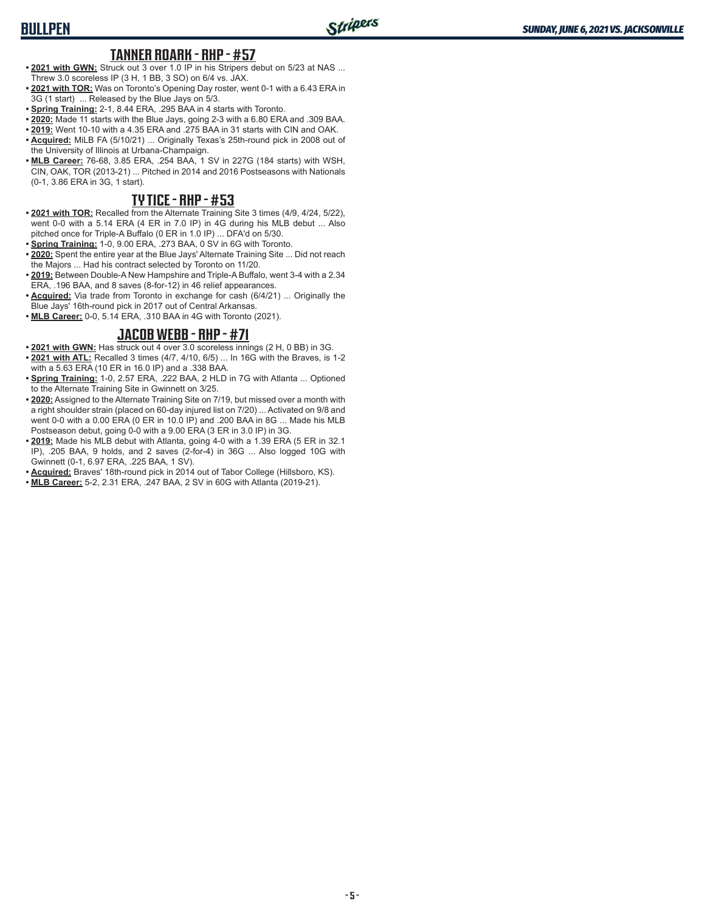#### **TANNER ROARK - RHP - #57**

- **• 2021 with GWN:** Struck out 3 over 1.0 IP in his Stripers debut on 5/23 at NAS ... Threw 3.0 scoreless IP (3 H, 1 BB, 3 SO) on 6/4 vs. JAX.
- **• 2021 with TOR:** Was on Toronto's Opening Day roster, went 0-1 with a 6.43 ERA in 3G (1 start) ... Released by the Blue Jays on 5/3.
- **• Spring Training:** 2-1, 8.44 ERA, .295 BAA in 4 starts with Toronto.
- **• 2020:** Made 11 starts with the Blue Jays, going 2-3 with a 6.80 ERA and .309 BAA.
- **• 2019:** Went 10-10 with a 4.35 ERA and .275 BAA in 31 starts with CIN and OAK.
- **• Acquired:** MiLB FA (5/10/21) ... Originally Texas's 25th-round pick in 2008 out of the University of Illinois at Urbana-Champaign.
- **• MLB Career:** 76-68, 3.85 ERA, .254 BAA, 1 SV in 227G (184 starts) with WSH, CIN, OAK, TOR (2013-21) ... Pitched in 2014 and 2016 Postseasons with Nationals (0-1, 3.86 ERA in 3G, 1 start).

### **TY TICE - RHP - #53**

- **• 2021 with TOR:** Recalled from the Alternate Training Site 3 times (4/9, 4/24, 5/22), went 0-0 with a 5.14 ERA (4 ER in 7.0 IP) in 4G during his MLB debut ... Also pitched once for Triple-A Buffalo (0 ER in 1.0 IP) ... DFA'd on 5/30.
- **• Spring Training:** 1-0, 9.00 ERA, .273 BAA, 0 SV in 6G with Toronto.
- **• 2020:** Spent the entire year at the Blue Jays' Alternate Training Site ... Did not reach the Majors ... Had his contract selected by Toronto on 11/20.
- **• 2019:** Between Double-A New Hampshire and Triple-A Buffalo, went 3-4 with a 2.34 ERA, .196 BAA, and 8 saves (8-for-12) in 46 relief appearances.
- **• Acquired:** Via trade from Toronto in exchange for cash (6/4/21) ... Originally the Blue Jays' 16th-round pick in 2017 out of Central Arkansas.
- **• MLB Career:** 0-0, 5.14 ERA, .310 BAA in 4G with Toronto (2021).

#### **JACOB WEBB - RHP - #71**

- **• 2021 with GWN:** Has struck out 4 over 3.0 scoreless innings (2 H, 0 BB) in 3G.
- **• 2021 with ATL:** Recalled 3 times (4/7, 4/10, 6/5) ... In 16G with the Braves, is 1-2 with a 5.63 ERA (10 ER in 16.0 IP) and a .338 BAA.
- **• Spring Training:** 1-0, 2.57 ERA, .222 BAA, 2 HLD in 7G with Atlanta ... Optioned to the Alternate Training Site in Gwinnett on 3/25.
- **• 2020:** Assigned to the Alternate Training Site on 7/19, but missed over a month with a right shoulder strain (placed on 60-day injured list on 7/20) ... Activated on 9/8 and went 0-0 with a 0.00 ERA (0 ER in 10.0 IP) and .200 BAA in 8G ... Made his MLB Postseason debut, going 0-0 with a 9.00 ERA (3 ER in 3.0 IP) in 3G.
- **• 2019:** Made his MLB debut with Atlanta, going 4-0 with a 1.39 ERA (5 ER in 32.1 IP), .205 BAA, 9 holds, and 2 saves (2-for-4) in 36G ... Also logged 10G with Gwinnett (0-1, 6.97 ERA, .225 BAA, 1 SV).
- **• Acquired:** Braves' 18th-round pick in 2014 out of Tabor College (Hillsboro, KS).
- **• MLB Career:** 5-2, 2.31 ERA, .247 BAA, 2 SV in 60G with Atlanta (2019-21).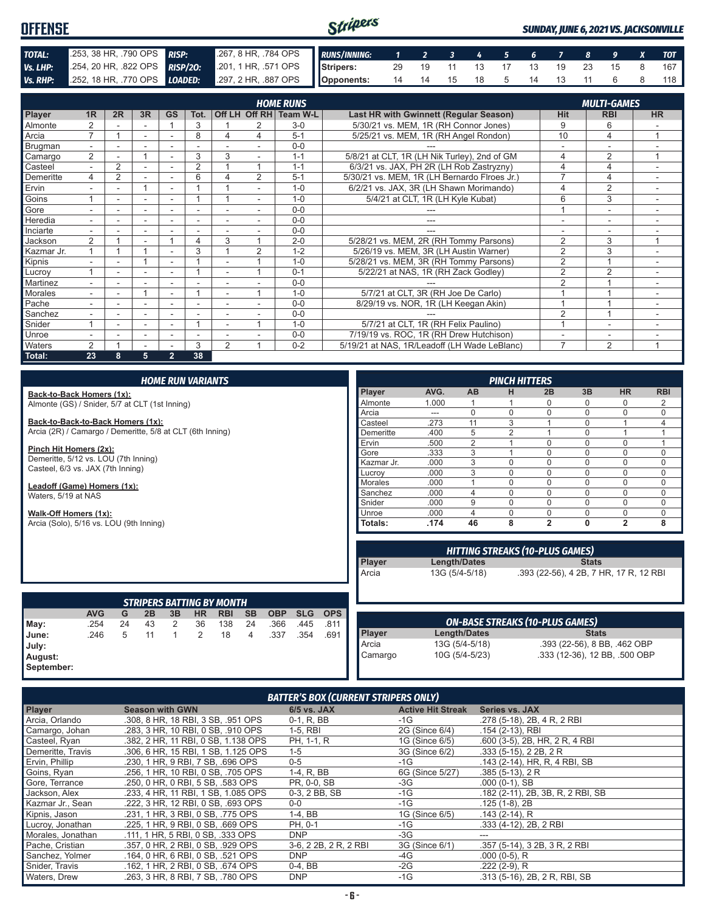#### Stripers **OFFENSE** *SUNDAY, JUNE 6, 2021 VS. JACKSONVILLE TOTAL:* .253, 38 HR, .790 OPS **RISP:** .267, 8 HR, .784 OPS *RUNS/INNING: 1 2 3 4 5 6 7 8 9 X TOT Vs. LHP:* .254, 20 HR, .822 OPS *RISP/2O:* .201, 1 HR, .571 OPS **Stripers:** 29 19 11 13 17 13 19 23 15 8 167 *Vs. RHP:* .252, 18 HR, .770 OPS *LOADED:* **Opponents:** 14 14 15 18 5 14 13 11 6 8 118

|                |                          |                |                          |                          |                          |                |    | <b>HOME RUNS</b>       |                                              |                          | <b>MULTI-GAMES</b>       |                          |
|----------------|--------------------------|----------------|--------------------------|--------------------------|--------------------------|----------------|----|------------------------|----------------------------------------------|--------------------------|--------------------------|--------------------------|
| Player         | 1R                       | 2R             | 3R                       | <b>GS</b>                | Tot.                     |                |    | Off LH Off RH Team W-L | Last HR with Gwinnett (Regular Season)       | <b>Hit</b>               | <b>RBI</b>               | <b>HR</b>                |
| Almonte        | $\overline{2}$           |                |                          |                          | 3                        |                |    | $3-0$                  | 5/30/21 vs. MEM, 1R (RH Connor Jones)        | 9                        | 6                        |                          |
| Arcia          | $\overline{ }$           |                |                          |                          | 8                        | Δ              | 4  | $5 - 1$                | 5/25/21 vs. MEM, 1R (RH Angel Rondon)        | 10                       | 4                        | $\overline{ }$           |
| <b>Brugman</b> | $\overline{\phantom{a}}$ |                |                          |                          |                          |                |    | $0 - 0$                |                                              |                          |                          |                          |
| Camargo        | 2                        |                |                          |                          | 3                        | 3              |    | $1 - 1$                | 5/8/21 at CLT, 1R (LH Nik Turley), 2nd of GM | 4                        | 2                        | и                        |
| Casteel        | $\overline{\phantom{0}}$ | $\overline{2}$ |                          |                          | 2                        |                |    | $1 - 1$                | 6/3/21 vs. JAX, PH 2R (LH Rob Zastryzny)     | 4                        | 4                        |                          |
| Demeritte      | 4                        | 2              |                          | $\overline{\phantom{a}}$ | 6                        | Λ              | 2  | $5 - 1$                | 5/30/21 vs. MEM, 1R (LH Bernardo Flroes Jr.) |                          | 4                        | $\overline{\phantom{a}}$ |
| Ervin          |                          | ۰.             | 4                        | $\overline{\phantom{a}}$ |                          |                |    | $1 - 0$                | 6/2/21 vs. JAX, 3R (LH Shawn Morimando)      | $\overline{4}$           | $\overline{2}$           | $\overline{\phantom{a}}$ |
| Goins          |                          |                |                          |                          |                          |                | ۰. | $1 - 0$                | 5/4/21 at CLT, 1R (LH Kyle Kubat)            | 6                        | 3                        | $\overline{\phantom{a}}$ |
| Gore           | ۰.                       | ۰              | $\overline{\phantom{a}}$ | $\overline{\phantom{a}}$ | $\overline{\phantom{a}}$ |                | ۰. | $0 - 0$                |                                              |                          | $\overline{\phantom{a}}$ | ۰                        |
| Heredia        | $\overline{\phantom{a}}$ | ۰              | $\overline{\phantom{a}}$ | ۰                        | ٠                        |                |    | $0 - 0$                | ---                                          | $\overline{\phantom{a}}$ | ۰                        |                          |
| Inciarte       |                          |                |                          |                          |                          |                |    | $0 - 0$                |                                              |                          |                          |                          |
| Jackson        | 2                        |                |                          |                          | 4                        | 3              |    | $2 - 0$                | 5/28/21 vs. MEM, 2R (RH Tommy Parsons)       | 2                        | 3                        | $\overline{ }$           |
| Kazmar Jr.     |                          |                | $\overline{\mathbf{A}}$  |                          | 3                        |                | 2  | $1 - 2$                | 5/26/19 vs. MEM, 3R (LH Austin Warner)       | $\overline{2}$           | 3                        | $\overline{\phantom{a}}$ |
| Kipnis         |                          |                |                          |                          |                          |                |    | $1 - 0$                | 5/28/21 vs. MEM, 3R (RH Tommy Parsons)       | $\overline{2}$           |                          |                          |
| Lucroy         |                          |                |                          |                          |                          |                |    | $0 - 1$                | 5/22/21 at NAS, 1R (RH Zack Godley)          | $\overline{2}$           | $\overline{2}$           | $\overline{\phantom{a}}$ |
| Martinez       | $\overline{\phantom{0}}$ |                |                          |                          |                          |                |    | $0 - 0$                |                                              | $\overline{2}$           |                          | $\overline{\phantom{a}}$ |
| Morales        | $\overline{\phantom{0}}$ | Ξ.             | 4                        | ٠                        |                          | $\blacksquare$ |    | $1 - 0$                | 5/7/21 at CLT, 3R (RH Joe De Carlo)          |                          |                          | ٠                        |
| Pache          |                          |                |                          |                          |                          |                |    | $0 - 0$                | 8/29/19 vs. NOR, 1R (LH Keegan Akin)         |                          |                          |                          |
| Sanchez        | $\overline{\phantom{a}}$ |                |                          |                          |                          |                |    | $0 - 0$                |                                              | $\overline{2}$           |                          |                          |
| Snider         |                          |                |                          |                          |                          |                |    | $1 - 0$                | 5/7/21 at CLT, 1R (RH Felix Paulino)         |                          |                          |                          |
| Unroe          |                          |                | ۰                        | ۰                        | ٠                        |                |    | $0 - 0$                | 7/19/19 vs. ROC, 1R (RH Drew Hutchison)      |                          | ۰                        |                          |
| Waters         | $\overline{2}$           |                |                          |                          | 3                        | $\overline{2}$ |    | $0 - 2$                | 5/19/21 at NAS, 1R/Leadoff (LH Wade LeBlanc) | $\overline{7}$           | $\overline{2}$           | 1                        |
| Total:         | 23                       | 8              | 5                        | $\overline{2}$           | 38                       |                |    |                        |                                              |                          |                          |                          |

| <b>HOME RUN VARIANTS</b>                                  |            |    |    |              |                |                                  |           |                                        | <b>PINCH HITTERS</b> |                |            |          |                |                |                                        |              |                               |              |
|-----------------------------------------------------------|------------|----|----|--------------|----------------|----------------------------------|-----------|----------------------------------------|----------------------|----------------|------------|----------|----------------|----------------|----------------------------------------|--------------|-------------------------------|--------------|
| Back-to-Back Homers (1x):                                 |            |    |    |              |                |                                  |           |                                        |                      |                | Player     | AVG.     | <b>AB</b>      | н              | 2B                                     | 3B           | <b>HR</b>                     | <b>RBI</b>   |
| Almonte (GS) / Snider, 5/7 at CLT (1st Inning)            |            |    |    |              |                |                                  | Almonte   | 1.000                                  |                      |                | $\Omega$   | $\Omega$ | $\Omega$       | 2              |                                        |              |                               |              |
|                                                           |            |    |    |              |                |                                  |           |                                        |                      |                | Arcia      | ---      | $\Omega$       | $\Omega$       | 0                                      | $\Omega$     | 0                             | 0            |
| Back-to-Back-to-Back Homers (1x):                         |            |    |    |              |                |                                  |           |                                        |                      |                | Casteel    | .273     | 11             | 3              |                                        | $\Omega$     |                               | 4            |
| Arcia (2R) / Camargo / Demeritte, 5/8 at CLT (6th Inning) |            |    |    |              |                |                                  |           |                                        |                      |                | Demeritte  | .400     | 5              | $\overline{2}$ |                                        | $\Omega$     |                               | $\mathbf{1}$ |
|                                                           |            |    |    |              |                |                                  |           |                                        |                      |                | Ervin      | .500     | $\overline{2}$ |                | 0                                      | $\Omega$     | 0                             | $\mathbf{1}$ |
| Pinch Hit Homers (2x):                                    |            |    |    |              |                |                                  |           |                                        |                      |                | Gore       | .333     | 3              |                | $\Omega$                               | $\Omega$     | 0                             | $\mathbf 0$  |
| Demeritte, 5/12 vs. LOU (7th Inning)                      |            |    |    |              |                |                                  |           |                                        |                      |                | Kazmar Jr. | .000     | 3              | 0              | 0                                      | $\Omega$     | 0                             | 0            |
| Casteel, 6/3 vs. JAX (7th Inning)                         |            |    |    |              |                |                                  |           |                                        |                      |                | Lucroy     | .000     | 3              | $\Omega$       | $\Omega$                               | $\Omega$     | $\Omega$                      | 0            |
| Leadoff (Game) Homers (1x):                               |            |    |    |              |                |                                  |           |                                        |                      |                | Morales    | .000     |                | $\Omega$       | $\Omega$                               | $\Omega$     | $\Omega$                      | 0            |
| Waters, 5/19 at NAS                                       |            |    |    |              |                |                                  |           |                                        |                      |                | Sanchez    | .000     | $\overline{4}$ | 0              | $\Omega$                               | $\Omega$     | $\Omega$                      | 0            |
|                                                           |            |    |    |              |                |                                  |           |                                        |                      |                | Snider     | .000.    | 9              | $\Omega$       | $\Omega$                               | $\Omega$     | $\Omega$                      | 0            |
| Walk-Off Homers (1x):                                     |            |    |    |              |                |                                  |           | Unroe                                  | .000                 | $\overline{4}$ | $\Omega$   | 0        | $\Omega$       | 0              | 0                                      |              |                               |              |
| Arcia (Solo), 5/16 vs. LOU (9th Inning)                   |            |    |    |              |                |                                  |           |                                        |                      |                | Totals:    | .174     | 46             | 8              | $\overline{2}$                         | 0            | $\overline{2}$                | 8            |
|                                                           |            |    |    |              |                |                                  |           |                                        |                      |                |            |          |                |                |                                        |              |                               |              |
|                                                           |            |    |    |              |                |                                  |           | <b>HITTING STREAKS (10-PLUS GAMES)</b> |                      |                |            |          |                |                |                                        |              |                               |              |
|                                                           |            |    |    |              |                |                                  |           |                                        |                      |                | Player     |          | Length/Dates   |                |                                        | <b>Stats</b> |                               |              |
|                                                           |            |    |    |              |                |                                  |           |                                        |                      |                | Arcia      |          | 13G (5/4-5/18) |                | .393 (22-56), 4 2B, 7 HR, 17 R, 12 RBI |              |                               |              |
|                                                           |            |    |    |              |                |                                  |           |                                        |                      |                |            |          |                |                |                                        |              |                               |              |
|                                                           |            |    |    |              |                |                                  |           |                                        |                      |                |            |          |                |                |                                        |              |                               |              |
|                                                           |            |    |    |              |                | <b>STRIPERS BATTING BY MONTH</b> |           |                                        |                      |                |            |          |                |                |                                        |              |                               |              |
|                                                           | <b>AVG</b> | G  | 2B | 3B           | <b>HR</b>      | <b>RBI</b>                       | <b>SB</b> | <b>OBP</b>                             | <b>SLG</b>           | <b>OPS</b>     |            |          |                |                |                                        |              |                               |              |
| May:                                                      | .254       | 24 | 43 | 2            | 36             | 138                              | 24        | .366                                   | .445                 | .811           |            |          |                |                | <b>ON-BASE STREAKS (10-PLUS GAMES)</b> |              |                               |              |
| June:                                                     | .246       | 5  | 11 | $\mathbf{1}$ | $\overline{2}$ | 18                               | 4         | .337                                   | .354                 | .691           | Player     |          | Length/Dates   |                |                                        | <b>Stats</b> |                               |              |
| July:                                                     |            |    |    |              |                |                                  |           |                                        |                      |                | Arcia      |          | 13G (5/4-5/18) |                |                                        |              | .393 (22-56), 8 BB, .462 OBP  |              |
| August:                                                   |            |    |    |              |                |                                  |           |                                        |                      |                | Camargo    |          | 10G (5/4-5/23) |                |                                        |              | .333 (12-36), 12 BB, .500 OBP |              |

| <b>BATTER'S BOX (CURRENT STRIPERS ONLY)</b> |                                     |                       |                          |                                   |  |  |
|---------------------------------------------|-------------------------------------|-----------------------|--------------------------|-----------------------------------|--|--|
| Player                                      | <b>Season with GWN</b>              | $6/5$ vs. JAX         | <b>Active Hit Streak</b> | Series vs. JAX                    |  |  |
| Arcia, Orlando                              | .308, 8 HR, 18 RBI, 3 SB, .951 OPS  | $0-1, R, BB$          | $-1G$                    | .278 (5-18), 2B, 4 R, 2 RBI       |  |  |
| Camargo, Johan                              | .283, 3 HR, 10 RBI, 0 SB, .910 OPS  | 1-5, RBI              | 2G (Since 6/4)           | .154 (2-13), RBI                  |  |  |
| Casteel, Ryan                               | .382, 2 HR, 11 RBI, 0 SB, 1.138 OPS | PH, 1-1, R            | 1G (Since 6/5)           | .600 (3-5), 2B, HR, 2 R, 4 RBI    |  |  |
| Demeritte, Travis                           | .306, 6 HR, 15 RBI, 1 SB, 1.125 OPS | $1 - 5$               | 3G (Since 6/2)           | $.333(5-15)$ , 2 2B, 2 R          |  |  |
| Ervin, Phillip                              | .230. 1 HR. 9 RBI. 7 SB. .696 OPS   | $0 - 5$               | $-1G$                    | .143 (2-14), HR, R, 4 RBI, SB     |  |  |
| Goins, Ryan                                 | .256, 1 HR, 10 RBI, 0 SB, .705 OPS  | 1-4, R, BB            | 6G (Since 5/27)          | $.385(5-13)$ , 2 R                |  |  |
| Gore, Terrance                              | .250. 0 HR. 0 RBI. 5 SB. .583 OPS   | PR. 0-0. SB           | -3G                      | $.000(0-1)$ , SB                  |  |  |
| Jackson, Alex                               | .233. 4 HR. 11 RBI. 1 SB. 1.085 OPS | 0-3, 2 BB, SB         | $-1G$                    | .182 (2-11), 2B, 3B, R, 2 RBI, SB |  |  |
| Kazmar Jr., Sean                            | .222, 3 HR, 12 RBI, 0 SB, .693 OPS  | $0-0$                 | $-1G$                    | $.125(1-8), 2B$                   |  |  |
| Kipnis, Jason                               | .231, 1 HR, 3 RBI, 0 SB, .775 OPS   | $1-4$ , BB            | 1G (Since 6/5)           | $.143(2-14)$ , R                  |  |  |
| Lucroy, Jonathan                            | .225. 1 HR. 9 RBI. 0 SB. .669 OPS   | PH, 0-1               | $-1G$                    | .333 (4-12), 2B, 2 RBI            |  |  |
| Morales, Jonathan                           | .111, 1 HR, 5 RBI, 0 SB, .333 OPS   | <b>DNP</b>            | -3G                      |                                   |  |  |
| Pache, Cristian                             | .357, 0 HR, 2 RBI, 0 SB, .929 OPS   | 3-6, 2 2B, 2 R, 2 RBI | 3G (Since 6/1)           | .357 (5-14), 3 2B, 3 R, 2 RBI     |  |  |
| Sanchez, Yolmer                             | .164, 0 HR, 6 RBI, 0 SB, .521 OPS   | <b>DNP</b>            | -4G                      | $.000(0-5)$ , R                   |  |  |
| Snider, Travis                              | .162, 1 HR, 2 RBI, 0 SB, .674 OPS   | $0-4$ , BB            | $-2G$                    | $.222(2-9)$ , R                   |  |  |
| Waters, Drew                                | .263. 3 HR. 8 RBI. 7 SB. .780 OPS   | <b>DNP</b>            | $-1G$                    | .313 (5-16), 2B, 2R, RBI, SB      |  |  |

**September:**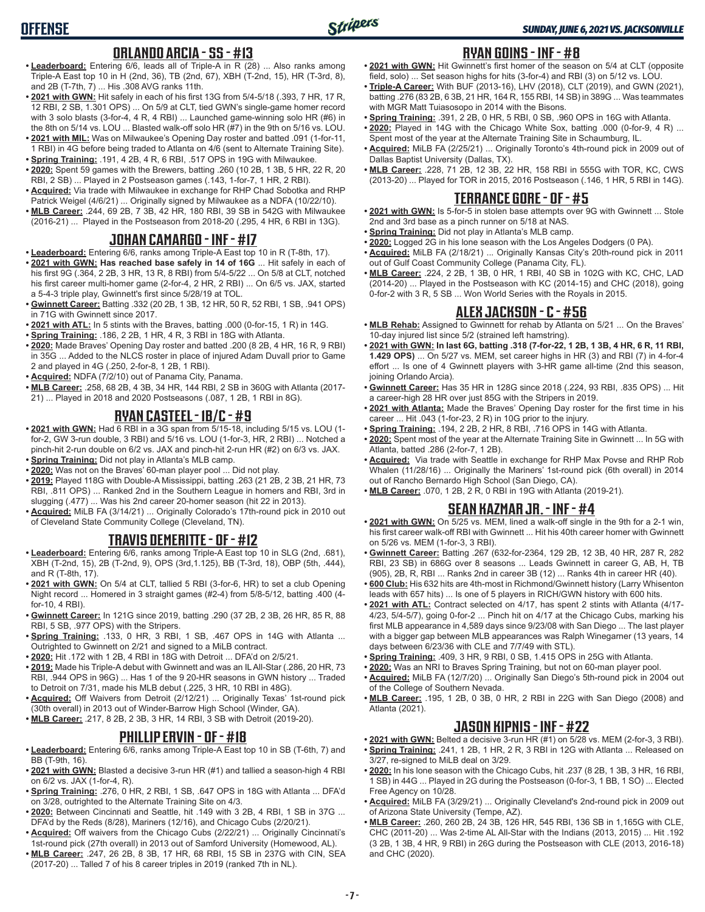## **ORLANDO ARCIA - SS - #13**

- **• Leaderboard:** Entering 6/6, leads all of Triple-A in R (28) ... Also ranks among Triple-A East top 10 in H (2nd, 36), TB (2nd, 67), XBH (T-2nd, 15), HR (T-3rd, 8), and 2B (T-7th, 7) ... His .308 AVG ranks 11th.
- **• 2021 with GWN:** Hit safely in each of his first 13G from 5/4-5/18 (.393, 7 HR, 17 R, 12 RBI, 2 SB, 1.301 OPS) ... On 5/9 at CLT, tied GWN's single-game homer record with 3 solo blasts (3-for-4, 4 R, 4 RBI) ... Launched game-winning solo HR (#6) in the 8th on 5/14 vs. LOU ... Blasted walk-off solo HR (#7) in the 9th on 5/16 vs. LOU.
- **• 2021 with MIL:** Was on Milwaukee's Opening Day roster and batted .091 (1-for-11, 1 RBI) in 4G before being traded to Atlanta on 4/6 (sent to Alternate Training Site).
- **• Spring Training:** .191, 4 2B, 4 R, 6 RBI, .517 OPS in 19G with Milwaukee. **• 2020:** Spent 59 games with the Brewers, batting .260 (10 2B, 1 3B, 5 HR, 22 R, 20 RBI, 2 SB) ... Played in 2 Postseason games (.143, 1-for-7, 1 HR, 2 RBI).
- **• Acquired:** Via trade with Milwaukee in exchange for RHP Chad Sobotka and RHP Patrick Weigel (4/6/21) ... Originally signed by Milwaukee as a NDFA (10/22/10).
- **• MLB Career:** .244, 69 2B, 7 3B, 42 HR, 180 RBI, 39 SB in 542G with Milwaukee (2016-21) ... Played in the Postseason from 2018-20 (.295, 4 HR, 6 RBI in 13G).

### **JOHAN CAMARGO - INF - #17**

- **• Leaderboard:** Entering 6/6, ranks among Triple-A East top 10 in R (T-8th, 17).
- **• 2021 with GWN: Has reached base safely in 14 of 16G** ... Hit safely in each of his first 9G (.364, 2 2B, 3 HR, 13 R, 8 RBI) from 5/4-5/22 ... On 5/8 at CLT, notched his first career multi-homer game (2-for-4, 2 HR, 2 RBI) ... On 6/5 vs. JAX, started a 5-4-3 triple play, Gwinnett's first since 5/28/19 at TOL.
- **• Gwinnett Career:** Batting .332 (20 2B, 1 3B, 12 HR, 50 R, 52 RBI, 1 SB, .941 OPS) in 71G with Gwinnett since 2017.
- **• 2021 with ATL:** In 5 stints with the Braves, batting .000 (0-for-15, 1 R) in 14G.
- **• Spring Training:** .186, 2 2B, 1 HR, 4 R, 3 RBI in 18G with Atlanta.
- **• 2020:** Made Braves' Opening Day roster and batted .200 (8 2B, 4 HR, 16 R, 9 RBI) in 35G ... Added to the NLCS roster in place of injured Adam Duvall prior to Game 2 and played in 4G (.250, 2-for-8, 1 2B, 1 RBI).
- **• Acquired:** NDFA (7/2/10) out of Panama City, Panama.
- **• MLB Career:** .258, 68 2B, 4 3B, 34 HR, 144 RBI, 2 SB in 360G with Atlanta (2017- 21) ... Played in 2018 and 2020 Postseasons (.087, 1 2B, 1 RBI in 8G).

#### **RYAN CASTEEL - 1B/C - #9**

- **• 2021 with GWN:** Had 6 RBI in a 3G span from 5/15-18, including 5/15 vs. LOU (1 for-2, GW 3-run double, 3 RBI) and 5/16 vs. LOU (1-for-3, HR, 2 RBI) ... Notched a pinch-hit 2-run double on 6/2 vs. JAX and pinch-hit 2-run HR (#2) on 6/3 vs. JAX.
- **• Spring Training:** Did not play in Atlanta's MLB camp.
- **• 2020:** Was not on the Braves' 60-man player pool ... Did not play.
- **• 2019:** Played 118G with Double-A Mississippi, batting .263 (21 2B, 2 3B, 21 HR, 73 RBI, .811 OPS) ... Ranked 2nd in the Southern League in homers and RBI, 3rd in slugging (.477) ... Was his 2nd career 20-homer season (hit 22 in 2013).
- **• Acquired:** MiLB FA (3/14/21) ... Originally Colorado's 17th-round pick in 2010 out of Cleveland State Community College (Cleveland, TN).

## **TRAVIS DEMERITTE - OF - #12**

- **• Leaderboard:** Entering 6/6, ranks among Triple-A East top 10 in SLG (2nd, .681), XBH (T-2nd, 15), 2B (T-2nd, 9), OPS (3rd,1.125), BB (T-3rd, 18), OBP (5th, .444), and R (T-8th, 17).
- **• 2021 with GWN:** On 5/4 at CLT, tallied 5 RBI (3-for-6, HR) to set a club Opening Night record ... Homered in 3 straight games (#2-4) from 5/8-5/12, batting .400 (4 for-10, 4 RBI).
- **• Gwinnett Career:** In 121G since 2019, batting .290 (37 2B, 2 3B, 26 HR, 85 R, 88 RBI, 5 SB, .977 OPS) with the Stripers.
- **• Spring Training:** .133, 0 HR, 3 RBI, 1 SB, .467 OPS in 14G with Atlanta ... Outrighted to Gwinnett on 2/21 and signed to a MiLB contract.
- **• 2020:** Hit .172 with 1 2B, 4 RBI in 18G with Detroit ... DFA'd on 2/5/21.
- **• 2019:** Made his Triple-A debut with Gwinnett and was an IL All-Star (.286, 20 HR, 73 RBI, .944 OPS in 96G) ... Has 1 of the 9 20-HR seasons in GWN history ... Traded to Detroit on 7/31, made his MLB debut (.225, 3 HR, 10 RBI in 48G).
- **• Acquired:** Off Waivers from Detroit (2/12/21) ... Originally Texas' 1st-round pick (30th overall) in 2013 out of Winder-Barrow High School (Winder, GA).
- **• MLB Career:** .217, 8 2B, 2 3B, 3 HR, 14 RBI, 3 SB with Detroit (2019-20).

#### **PHILLIP ERVIN - OF - #18**

- **• Leaderboard:** Entering 6/6, ranks among Triple-A East top 10 in SB (T-6th, 7) and BB (T-9th, 16).
- **• 2021 with GWN:** Blasted a decisive 3-run HR (#1) and tallied a season-high 4 RBI on 6/2 vs. JAX (1-for-4, R).
- **• Spring Training:** .276, 0 HR, 2 RBI, 1 SB, .647 OPS in 18G with Atlanta ... DFA'd on 3/28, outrighted to the Alternate Training Site on 4/3.
- **• 2020:** Between Cincinnati and Seattle, hit .149 with 3 2B, 4 RBI, 1 SB in 37G ... DFA'd by the Reds (8/28), Mariners (12/16), and Chicago Cubs (2/20/21).
- **• Acquired:** Off waivers from the Chicago Cubs (2/22/21) ... Originally Cincinnati's 1st-round pick (27th overall) in 2013 out of Samford University (Homewood, AL).
- **• MLB Career:** .247, 26 2B, 8 3B, 17 HR, 68 RBI, 15 SB in 237G with CIN, SEA (2017-20) ... Talled 7 of his 8 career triples in 2019 (ranked 7th in NL).

# **RYAN GOINS - INF - #8**

- **• 2021 with GWN:** Hit Gwinnett's first homer of the season on 5/4 at CLT (opposite field, solo) ... Set season highs for hits (3-for-4) and RBI (3) on 5/12 vs. LOU.
- **• Triple-A Career:** With BUF (2013-16), LHV (2018), CLT (2019), and GWN (2021), batting .276 (83 2B, 6 3B, 21 HR, 164 R, 155 RBI, 14 SB) in 389G ... Was teammates with MGR Matt Tuiasosopo in 2014 with the Bisons.
- **• Spring Training:** .391, 2 2B, 0 HR, 5 RBI, 0 SB, .960 OPS in 16G with Atlanta.
- **• 2020:** Played in 14G with the Chicago White Sox, batting .000 (0-for-9, 4 R) ... Spent most of the year at the Alternate Training Site in Schaumburg, IL.
- **• Acquired:** MiLB FA (2/25/21) ... Originally Toronto's 4th-round pick in 2009 out of Dallas Baptist University (Dallas, TX).
- **• MLB Career:** .228, 71 2B, 12 3B, 22 HR, 158 RBI in 555G with TOR, KC, CWS (2013-20) ... Played for TOR in 2015, 2016 Postseason (.146, 1 HR, 5 RBI in 14G).

# **TERRANCE GORE - OF - #5**

- **• 2021 with GWN:** Is 5-for-5 in stolen base attempts over 9G with Gwinnett ... Stole 2nd and 3rd base as a pinch runner on 5/18 at NAS.
- **• Spring Training:** Did not play in Atlanta's MLB camp.
- **• 2020:** Logged 2G in his lone season with the Los Angeles Dodgers (0 PA).
- **• Acquired:** MiLB FA (2/18/21) ... Originally Kansas City's 20th-round pick in 2011 out of Gulf Coast Community College (Panama City, FL).
- **• MLB Career:** .224, 2 2B, 1 3B, 0 HR, 1 RBI, 40 SB in 102G with KC, CHC, LAD (2014-20) ... Played in the Postseason with KC (2014-15) and CHC (2018), going 0-for-2 with 3 R, 5 SB ... Won World Series with the Royals in 2015.

#### **ALEX JACKSON - C - #56**

- **• MLB Rehab:** Assigned to Gwinnett for rehab by Atlanta on 5/21 ... On the Braves' 10-day injured list since 5/2 (strained left hamstring).
- **• 2021 with GWN: In last 6G, batting .318 (7-for-22, 1 2B, 1 3B, 4 HR, 6 R, 11 RBI, 1.429 OPS)** ... On 5/27 vs. MEM, set career highs in HR (3) and RBI (7) in 4-for-4 effort ... Is one of 4 Gwinnett players with 3-HR game all-time (2nd this season, joining Orlando Arcia).
- **• Gwinnett Career:** Has 35 HR in 128G since 2018 (.224, 93 RBI, .835 OPS) ... Hit a career-high 28 HR over just 85G with the Stripers in 2019.
- **• 2021 with Atlanta:** Made the Braves' Opening Day roster for the first time in his career ... Hit .043 (1-for-23, 2 R) in 10G prior to the injury.
- **• Spring Training:** .194, 2 2B, 2 HR, 8 RBI, .716 OPS in 14G with Atlanta.
- **• 2020:** Spent most of the year at the Alternate Training Site in Gwinnett ... In 5G with Atlanta, batted .286 (2-for-7, 1 2B).
- **• Acquired:** Via trade with Seattle in exchange for RHP Max Povse and RHP Rob Whalen (11/28/16) ... Originally the Mariners' 1st-round pick (6th overall) in 2014 out of Rancho Bernardo High School (San Diego, CA).
- **• MLB Career:** .070, 1 2B, 2 R, 0 RBI in 19G with Atlanta (2019-21).

#### **SEAN KAZMAR JR. - INF - #4**

- **• 2021 with GWN:** On 5/25 vs. MEM, lined a walk-off single in the 9th for a 2-1 win, his first career walk-off RBI with Gwinnett ... Hit his 40th career homer with Gwinnett on 5/26 vs. MEM (1-for-3, 3 RBI).
- **• Gwinnett Career:** Batting .267 (632-for-2364, 129 2B, 12 3B, 40 HR, 287 R, 282 RBI, 23 SB) in 686G over 8 seasons ... Leads Gwinnett in career G, AB, H, TB (905), 2B, R, RBI ... Ranks 2nd in career 3B (12) ... Ranks 4th in career HR (40).
- **• 600 Club:** His 632 hits are 4th-most in Richmond/Gwinnett history (Larry Whisenton leads with 657 hits) ... Is one of 5 players in RICH/GWN history with 600 hits.
- **• 2021 with ATL:** Contract selected on 4/17, has spent 2 stints with Atlanta (4/17- 4/23, 5/4-5/7), going 0-for-2 ... Pinch hit on 4/17 at the Chicago Cubs, marking his first MLB appearance in 4,589 days since 9/23/08 with San Diego ... The last player with a bigger gap between MLB appearances was Ralph Winegarner (13 years, 14 days between 6/23/36 with CLE and 7/7/49 with STL).
- **• Spring Training:** .409, 3 HR, 9 RBI, 0 SB, 1.415 OPS in 25G with Atlanta.
- **• 2020:** Was an NRI to Braves Spring Training, but not on 60-man player pool.
- **• Acquired:** MiLB FA (12/7/20) ... Originally San Diego's 5th-round pick in 2004 out of the College of Southern Nevada.
- **• MLB Career:** .195, 1 2B, 0 3B, 0 HR, 2 RBI in 22G with San Diego (2008) and Atlanta (2021).

# **JASON KIPNIS - INF - #22**

- **• 2021 with GWN:** Belted a decisive 3-run HR (#1) on 5/28 vs. MEM (2-for-3, 3 RBI). **• Spring Training:** .241, 1 2B, 1 HR, 2 R, 3 RBI in 12G with Atlanta ... Released on
- 3/27, re-signed to MiLB deal on 3/29. **• 2020:** In his lone season with the Chicago Cubs, hit .237 (8 2B, 1 3B, 3 HR, 16 RBI, 1 SB) in 44G ... Played in 2G during the Postseason (0-for-3, 1 BB, 1 SO) ... Elected
- Free Agency on 10/28. **• Acquired:** MiLB FA (3/29/21) ... Originally Cleveland's 2nd-round pick in 2009 out
- of Arizona State University (Tempe, AZ). **• MLB Career:** .260, 260 2B, 24 3B, 126 HR, 545 RBI, 136 SB in 1,165G with CLE, CHC (2011-20) ... Was 2-time AL All-Star with the Indians (2013, 2015) ... Hit .192 (3 2B, 1 3B, 4 HR, 9 RBI) in 26G during the Postseason with CLE (2013, 2016-18) and CHC (2020).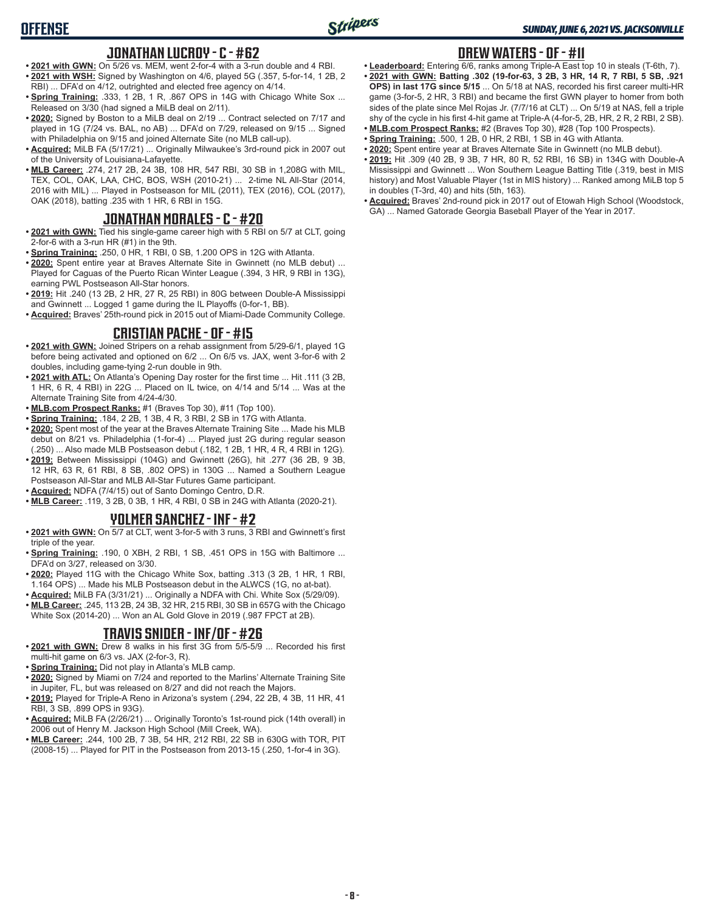## **JONATHAN LUCROY - C - #62**

- **• 2021 with GWN:** On 5/26 vs. MEM, went 2-for-4 with a 3-run double and 4 RBI. **• 2021 with WSH:** Signed by Washington on 4/6, played 5G (.357, 5-for-14, 1 2B, 2 RBI) ... DFA'd on 4/12, outrighted and elected free agency on 4/14.
- **Spring Training: .333, 1 2B, 1 R, .867 OPS in 14G with Chicago White Sox ...** Released on 3/30 (had signed a MiLB deal on 2/11).
- **• 2020:** Signed by Boston to a MiLB deal on 2/19 ... Contract selected on 7/17 and played in 1G (7/24 vs. BAL, no AB) ... DFA'd on 7/29, released on 9/15 ... Signed with Philadelphia on 9/15 and joined Alternate Site (no MLB call-up).
- **• Acquired:** MiLB FA (5/17/21) ... Originally Milwaukee's 3rd-round pick in 2007 out of the University of Louisiana-Lafayette.
- **• MLB Career:** .274, 217 2B, 24 3B, 108 HR, 547 RBI, 30 SB in 1,208G with MIL, TEX, COL, OAK, LAA, CHC, BOS, WSH (2010-21) ... 2-time NL All-Star (2014, 2016 with MIL) ... Played in Postseason for MIL (2011), TEX (2016), COL (2017), OAK (2018), batting .235 with 1 HR, 6 RBI in 15G.

# **JONATHAN MORALES - C - #20**

- **• 2021 with GWN:** Tied his single-game career high with 5 RBI on 5/7 at CLT, going 2-for-6 with a 3-run HR (#1) in the 9th.
- **• Spring Training:** .250, 0 HR, 1 RBI, 0 SB, 1.200 OPS in 12G with Atlanta.
- **• 2020:** Spent entire year at Braves Alternate Site in Gwinnett (no MLB debut) ... Played for Caguas of the Puerto Rican Winter League (.394, 3 HR, 9 RBI in 13G), earning PWL Postseason All-Star honors.
- **• 2019:** Hit .240 (13 2B, 2 HR, 27 R, 25 RBI) in 80G between Double-A Mississippi and Gwinnett ... Logged 1 game during the IL Playoffs (0-for-1, BB).
- **• Acquired:** Braves' 25th-round pick in 2015 out of Miami-Dade Community College.

# **CRISTIAN PACHE - OF - #15**

- **• 2021 with GWN:** Joined Stripers on a rehab assignment from 5/29-6/1, played 1G before being activated and optioned on 6/2 ... On 6/5 vs. JAX, went 3-for-6 with 2 doubles, including game-tying 2-run double in 9th.
- **• 2021 with ATL:** On Atlanta's Opening Day roster for the first time ... Hit .111 (3 2B, 1 HR, 6 R, 4 RBI) in 22G ... Placed on IL twice, on 4/14 and 5/14 ... Was at the Alternate Training Site from 4/24-4/30.
- **• MLB.com Prospect Ranks:** #1 (Braves Top 30), #11 (Top 100).
- **• Spring Training:** .184, 2 2B, 1 3B, 4 R, 3 RBI, 2 SB in 17G with Atlanta.
- **• 2020:** Spent most of the year at the Braves Alternate Training Site ... Made his MLB debut on 8/21 vs. Philadelphia (1-for-4) ... Played just 2G during regular season (.250) ... Also made MLB Postseason debut (.182, 1 2B, 1 HR, 4 R, 4 RBI in 12G).
- **• 2019:** Between Mississippi (104G) and Gwinnett (26G), hit .277 (36 2B, 9 3B, 12 HR, 63 R, 61 RBI, 8 SB, .802 OPS) in 130G ... Named a Southern League Postseason All-Star and MLB All-Star Futures Game participant.
- **• Acquired:** NDFA (7/4/15) out of Santo Domingo Centro, D.R.
- **• MLB Career:** .119, 3 2B, 0 3B, 1 HR, 4 RBI, 0 SB in 24G with Atlanta (2020-21).

## **YOLMER SANCHEZ - INF - #2**

- **• 2021 with GWN:** On 5/7 at CLT, went 3-for-5 with 3 runs, 3 RBI and Gwinnett's first triple of the year.
- **• Spring Training:** .190, 0 XBH, 2 RBI, 1 SB, .451 OPS in 15G with Baltimore ... DFA'd on 3/27, released on 3/30.
- **• 2020:** Played 11G with the Chicago White Sox, batting .313 (3 2B, 1 HR, 1 RBI, 1.164 OPS) ... Made his MLB Postseason debut in the ALWCS (1G, no at-bat).
- **• Acquired:** MiLB FA (3/31/21) ... Originally a NDFA with Chi. White Sox (5/29/09). **• MLB Career:** .245, 113 2B, 24 3B, 32 HR, 215 RBI, 30 SB in 657G with the Chicago White Sox (2014-20) ... Won an AL Gold Glove in 2019 (.987 FPCT at 2B).

# **TRAVIS SNIDER - INF/OF - #26**

- **• 2021 with GWN:** Drew 8 walks in his first 3G from 5/5-5/9 ... Recorded his first multi-hit game on 6/3 vs. JAX (2-for-3, R).
- **• Spring Training:** Did not play in Atlanta's MLB camp.
- **• 2020:** Signed by Miami on 7/24 and reported to the Marlins' Alternate Training Site in Jupiter, FL, but was released on 8/27 and did not reach the Majors.
- **• 2019:** Played for Triple-A Reno in Arizona's system (.294, 22 2B, 4 3B, 11 HR, 41 RBI, 3 SB, .899 OPS in 93G).
- **• Acquired:** MiLB FA (2/26/21) ... Originally Toronto's 1st-round pick (14th overall) in 2006 out of Henry M. Jackson High School (Mill Creek, WA).
- **• MLB Career:** .244, 100 2B, 7 3B, 54 HR, 212 RBI, 22 SB in 630G with TOR, PIT (2008-15) ... Played for PIT in the Postseason from 2013-15 (.250, 1-for-4 in 3G).

# **DREW WATERS - OF - #11**

- **• Leaderboard:** Entering 6/6, ranks among Triple-A East top 10 in steals (T-6th, 7). **• 2021 with GWN: Batting .302 (19-for-63, 3 2B, 3 HR, 14 R, 7 RBI, 5 SB, .921 OPS) in last 17G since 5/15** ... On 5/18 at NAS, recorded his first career multi-HR game (3-for-5, 2 HR, 3 RBI) and became the first GWN player to homer from both sides of the plate since Mel Rojas Jr. (7/7/16 at CLT) ... On 5/19 at NAS, fell a triple shy of the cycle in his first 4-hit game at Triple-A (4-for-5, 2B, HR, 2 R, 2 RBI, 2 SB).
- **• MLB.com Prospect Ranks:** #2 (Braves Top 30), #28 (Top 100 Prospects). **• Spring Training:** .500, 1 2B, 0 HR, 2 RBI, 1 SB in 4G with Atlanta.
- **• 2020:** Spent entire year at Braves Alternate Site in Gwinnett (no MLB debut).
- **• 2019:** Hit .309 (40 2B, 9 3B, 7 HR, 80 R, 52 RBI, 16 SB) in 134G with Double-A Mississippi and Gwinnett ... Won Southern League Batting Title (.319, best in MIS history) and Most Valuable Player (1st in MIS history) ... Ranked among MiLB top 5 in doubles (T-3rd, 40) and hits (5th, 163).
- **• Acquired:** Braves' 2nd-round pick in 2017 out of Etowah High School (Woodstock, GA) ... Named Gatorade Georgia Baseball Player of the Year in 2017.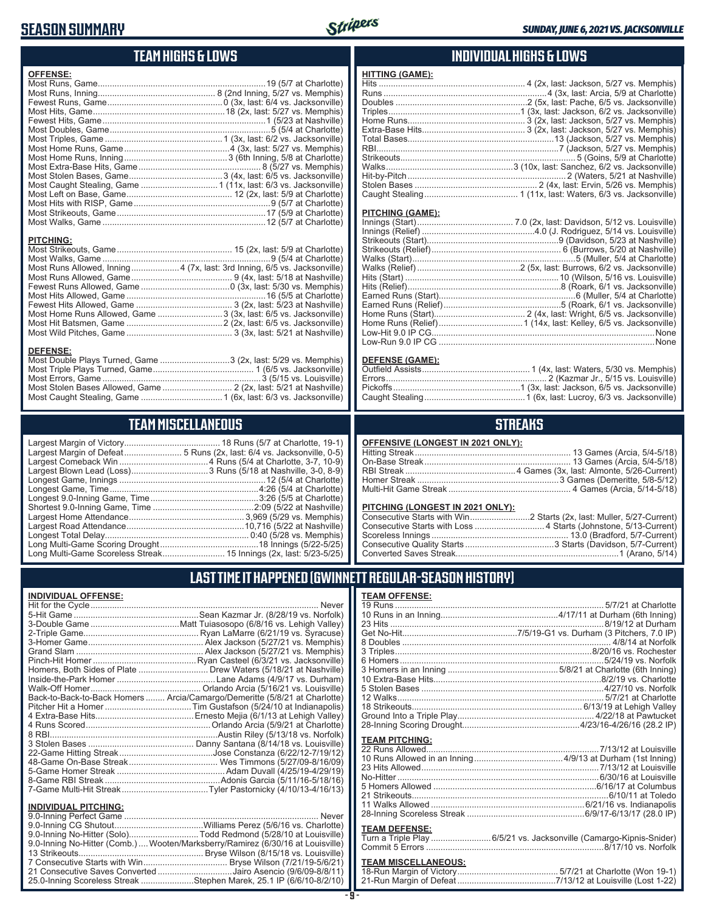# **SEASON SUMMARY**



## **TEAM HIGHS & LOWS**

| <b>OFFENSE:</b>  |  |
|------------------|--|
|                  |  |
|                  |  |
|                  |  |
|                  |  |
|                  |  |
|                  |  |
|                  |  |
|                  |  |
|                  |  |
|                  |  |
|                  |  |
|                  |  |
|                  |  |
|                  |  |
|                  |  |
|                  |  |
|                  |  |
| <b>PITCHING:</b> |  |
|                  |  |

Most Walks, Game ......................................................................9 (5/4 at Charlotte) Most Runs Allowed, Inning....................4 (7x, last: 3rd Inning, 6/5 vs. Jacksonville) Most Runs Allowed, Game .......................................... 9 (4x, last: 5/18 at Nashville) Fewest Runs Allowed, Game .....................................0 (3x, last: 5/30 vs. Memphis) Most Hits Allowed, Game ..........................................................16 (5/5 at Charlotte) Fewest Hits Allowed, Game ........................................ 3 (2x, last: 5/23 at Nashville) Most Home Runs Allowed, Game ...........................3 (3x, last: 6/5 vs. Jacksonville) Most Hit Batsmen, Game ........................................2 (2x, last: 6/5 vs. Jacksonville) Most Wild Pitches, Game ............................................ 3 (3x, last: 5/21 at Nashville)

Most Double Plays Turned, Game .............................3 (2x, last: 5/29 vs. Memphis) Most Triple Plays Turned, Game .......................................... 1 (6/5 vs. Jacksonville) Most Errors, Game ..................................................................3 (5/15 vs. Louisville) Most Stolen Bases Allowed, Game ............................. 2 (2x, last: 5/21 at Nashville) Most Caught Stealing, Game ..................................1 (6x, last: 6/3 vs. Jacksonville)

**TEAM MISCELLANEOUS** Largest Margin of Victory........................................ 18 Runs (5/7 at Charlotte, 19-1) Largest Margin of Defeat........................ 5 Runs (2x, last: 6/4 vs. Jacksonville, 0-5) Largest Comeback Win .....................................4 Runs (5/4 at Charlotte, 3-7, 10-9) Largest Blown Lead (Loss) ................................3 Runs (5/18 at Nashville, 3-0, 8-9) Longest Game, Innings .............................................................12 (5/4 at Charlotte) Longest Game, Time ..............................................................4:26 (5/4 at Charlotte) Longest 9.0-Inning Game, Time .............................................3:26 (5/5 at Charlotte)

#### **INDIVIDUAL HIGHS & LOWS**

| <b>HITTING (GAME):</b> |  |
|------------------------|--|
|                        |  |
|                        |  |
|                        |  |
|                        |  |
|                        |  |
|                        |  |
|                        |  |
|                        |  |
|                        |  |
|                        |  |
|                        |  |
|                        |  |
|                        |  |

#### **PITCHING (GAME):**

| Low-Run 9.0 IP CG …………………………………………………………………………………None |
|-------------------------------------------------------|

#### **DEFENSE (GAME):**

#### **STREAKS**

#### **PITCHING (LONGEST IN 2021 ONLY):**

#### **LULAR-SEASON HISTORY)**

#### **INDIVIDUAL OFFENSE:**

**DEFENSE:**

|                             | Homers, Both Sides of Plate Drew Waters (5/18/21 at Nashville)             |
|-----------------------------|----------------------------------------------------------------------------|
|                             |                                                                            |
|                             |                                                                            |
|                             | Back-to-Back-to-Back Homers  Arcia/Camargo/Demeritte (5/8/21 at Charlotte) |
|                             |                                                                            |
|                             |                                                                            |
|                             |                                                                            |
|                             |                                                                            |
|                             |                                                                            |
|                             |                                                                            |
|                             |                                                                            |
|                             |                                                                            |
|                             |                                                                            |
|                             |                                                                            |
|                             |                                                                            |
| <b>INDIVIDUAL PITCHING:</b> | Never                                                                      |
|                             |                                                                            |

| 9.0-Inning No-Hitter (Solo)Todd Redmond (5/28/10 at Louisville)                |  |
|--------------------------------------------------------------------------------|--|
| 9.0-Inning No-Hitter (Comb.) Wooten/Marksberry/Ramirez (6/30/16 at Louisville) |  |
|                                                                                |  |
|                                                                                |  |
| 21 Consecutive Saves Converted Jairo Asencio (9/6/09-8/8/11)                   |  |
| 25.0-Inning Scoreless Streak Stephen Marek, 25.1 IP (6/6/10-8/2/10)            |  |
|                                                                                |  |

**- 9 -**

| <b>TEAM OFFENSE:</b>  |                                                        |
|-----------------------|--------------------------------------------------------|
|                       |                                                        |
|                       |                                                        |
|                       |                                                        |
|                       |                                                        |
|                       |                                                        |
|                       |                                                        |
|                       | 6 Homers………………………………………………………………………5/24/19 vs. Norfolk |
|                       |                                                        |
|                       |                                                        |
|                       |                                                        |
|                       |                                                        |
|                       |                                                        |
|                       |                                                        |
|                       |                                                        |
| <b>TEAM PITCHING:</b> |                                                        |
|                       |                                                        |

#### **TEAM DEFENSE:**

| Turn a Triple Play 6/5/21 vs. Jacksonville (Camargo-Kipnis-Snider) |
|--------------------------------------------------------------------|
|                                                                    |

# **TEAM MISCELLANEOUS:**

| I AST TIME IT HAPPENED (GWINNETT REG                                       |  |
|----------------------------------------------------------------------------|--|
|                                                                            |  |
| Long Multi-Game Scoreless Streak 15 Innings (2x, last: 5/23-5/25)   Conver |  |
|                                                                            |  |
|                                                                            |  |
|                                                                            |  |
|                                                                            |  |
|                                                                            |  |